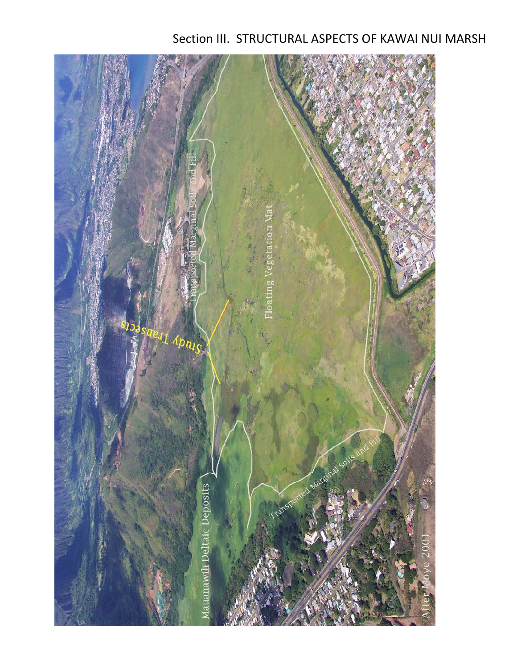# Section III. STRUCTURAL ASPECTS OF KAWAI NUI MARSH

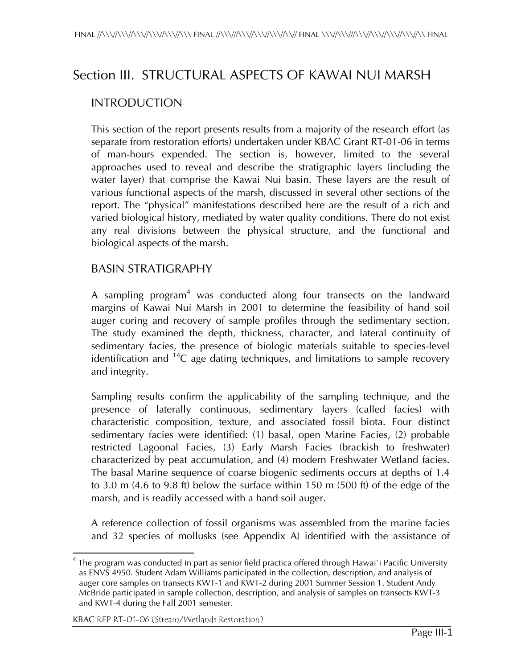## Section III. STRUCTURAL ASPECTS OF KAWAI NUI MARSH

#### INTRODUCTION

This section of the report presents results from a majority of the research effort (as separate from restoration efforts) undertaken under KBAC Grant RT-01-06 in terms of man-hours expended. The section is, however, limited to the several approaches used to reveal and describe the stratigraphic layers (including the water layer) that comprise the Kawai Nui basin. These layers are the result of various functional aspects of the marsh, discussed in several other sections of the report. The "physical" manifestations described here are the result of a rich and varied biological history, mediated by water quality conditions. There do not exist any real divisions between the physical structure, and the functional and biological aspects of the marsh.

#### BASIN STRATIGRAPHY

A sampling program<sup>4</sup> was conducted along four transects on the landward margins of Kawai Nui Marsh in 2001 to determine the feasibility of hand soil auger coring and recovery of sample profiles through the sedimentary section. The study examined the depth, thickness, character, and lateral continuity of sedimentary facies, the presence of biologic materials suitable to species-level identification and  $14C$  age dating techniques, and limitations to sample recovery and integrity.

Sampling results confirm the applicability of the sampling technique, and the presence of laterally continuous, sedimentary layers (called facies) with characteristic composition, texture, and associated fossil biota. Four distinct sedimentary facies were identified: (1) basal, open Marine Facies, (2) probable restricted Lagoonal Facies, (3) Early Marsh Facies (brackish to freshwater) characterized by peat accumulation, and (4) modern Freshwater Wetland facies. The basal Marine sequence of coarse biogenic sediments occurs at depths of 1.4 to 3.0 m (4.6 to 9.8 ft) below the surface within 150 m (500 ft) of the edge of the marsh, and is readily accessed with a hand soil auger.

A reference collection of fossil organisms was assembled from the marine facies and 32 species of mollusks (see Appendix A) identified with the assistance of

 $\overline{\phantom{a}}$  $^{\text{4}}$  The program was conducted in part as senior field practica offered through Hawai`i Pacific University . as ENVS 4950. Student Adam Williams participated in the collection, description, and analysis of auger core samples on transects KWT-1 and KWT-2 during 2001 Summer Session 1. Student Andy McBride participated in sample collection, description, and analysis of samples on transects KWT-3 and KWT-4 during the Fall 2001 semester.

KBAC RFP RT-01-06 (Stream/Wetlands Restoration)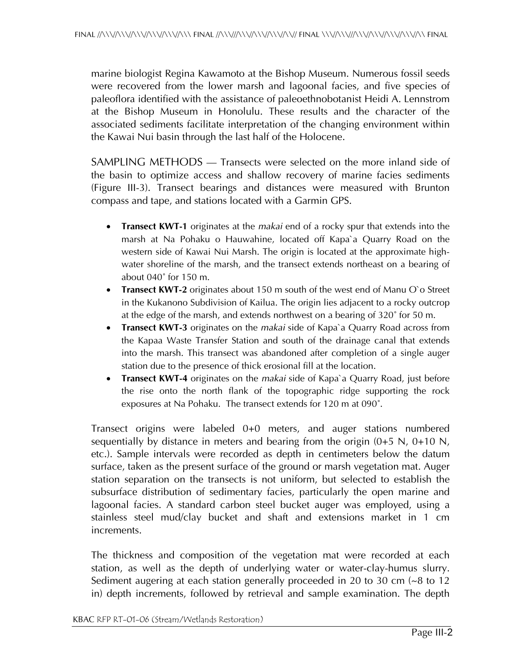marine biologist Regina Kawamoto at the Bishop Museum. Numerous fossil seeds were recovered from the lower marsh and lagoonal facies, and five species of paleoflora identified with the assistance of paleoethnobotanist Heidi A. Lennstrom at the Bishop Museum in Honolulu. These results and the character of the associated sediments facilitate interpretation of the changing environment within the Kawai Nui basin through the last half of the Holocene.

SAMPLING METHODS — Transects were selected on the more inland side of the basin to optimize access and shallow recovery of marine facies sediments (Figure III-3). Transect bearings and distances were measured with Brunton compass and tape, and stations located with a Garmin GPS.

- **Transect KWT-1** originates at the *makai* end of a rocky spur that extends into the marsh at Na Pohaku o Hauwahine, located off Kapa`a Quarry Road on the western side of Kawai Nui Marsh. The origin is located at the approximate highwater shoreline of the marsh, and the transect extends northeast on a bearing of about 040˚ for 150 m.
- **Transect KWT-2** originates about 150 m south of the west end of Manu O`o Street in the Kukanono Subdivision of Kailua. The origin lies adjacent to a rocky outcrop at the edge of the marsh, and extends northwest on a bearing of 320˚ for 50 m.
- **Transect KWT-3** originates on the *makai* side of Kapa`a Quarry Road across from the Kapaa Waste Transfer Station and south of the drainage canal that extends into the marsh. This transect was abandoned after completion of a single auger station due to the presence of thick erosional fill at the location.
- **Transect KWT-4** originates on the *makai* side of Kapa`a Quarry Road, just before the rise onto the north flank of the topographic ridge supporting the rock exposures at Na Pohaku. The transect extends for 120 m at 090˚.

Transect origins were labeled 0+0 meters, and auger stations numbered sequentially by distance in meters and bearing from the origin  $(0+5 N, 0+10 N, 0)$ etc.). Sample intervals were recorded as depth in centimeters below the datum surface, taken as the present surface of the ground or marsh vegetation mat. Auger station separation on the transects is not uniform, but selected to establish the subsurface distribution of sedimentary facies, particularly the open marine and lagoonal facies. A standard carbon steel bucket auger was employed, using a stainless steel mud/clay bucket and shaft and extensions market in 1 cm increments.

The thickness and composition of the vegetation mat were recorded at each station, as well as the depth of underlying water or water-clay-humus slurry. Sediment augering at each station generally proceeded in 20 to 30 cm (~8 to 12 in) depth increments, followed by retrieval and sample examination. The depth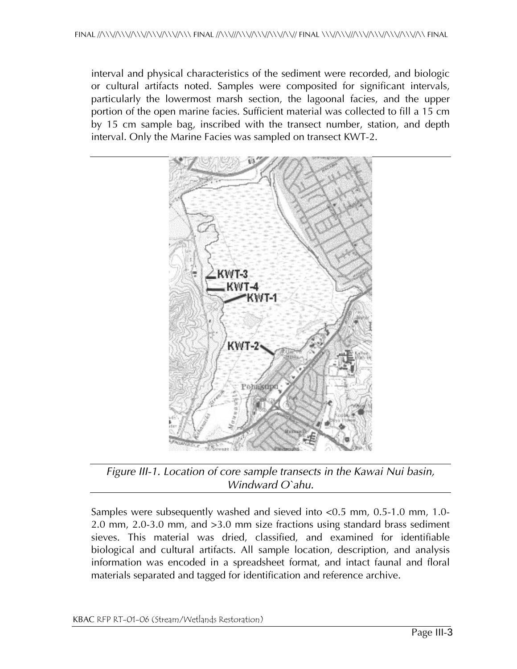interval and physical characteristics of the sediment were recorded, and biologic or cultural artifacts noted. Samples were composited for significant intervals, particularly the lowermost marsh section, the lagoonal facies, and the upper portion of the open marine facies. Sufficient material was collected to fill a 15 cm by 15 cm sample bag, inscribed with the transect number, station, and depth interval. Only the Marine Facies was sampled on transect KWT-2.



*Figure III-1. Location of core sample transects in the Kawai Nui basin, Windward O`ahu.* 

Samples were subsequently washed and sieved into <0.5 mm, 0.5-1.0 mm, 1.0- 2.0 mm, 2.0-3.0 mm, and >3.0 mm size fractions using standard brass sediment sieves. This material was dried, classified, and examined for identifiable biological and cultural artifacts. All sample location, description, and analysis information was encoded in a spreadsheet format, and intact faunal and floral materials separated and tagged for identification and reference archive.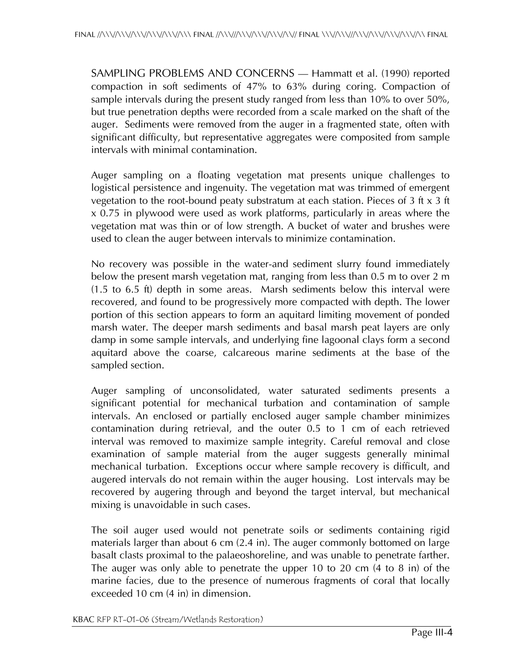SAMPLING PROBLEMS AND CONCERNS — Hammatt et al. (1990) reported compaction in soft sediments of 47% to 63% during coring. Compaction of sample intervals during the present study ranged from less than 10% to over 50%, but true penetration depths were recorded from a scale marked on the shaft of the auger. Sediments were removed from the auger in a fragmented state, often with significant difficulty, but representative aggregates were composited from sample intervals with minimal contamination.

Auger sampling on a floating vegetation mat presents unique challenges to logistical persistence and ingenuity. The vegetation mat was trimmed of emergent vegetation to the root-bound peaty substratum at each station. Pieces of 3 ft  $x$  3 ft x 0.75 in plywood were used as work platforms, particularly in areas where the vegetation mat was thin or of low strength. A bucket of water and brushes were used to clean the auger between intervals to minimize contamination.

No recovery was possible in the water-and sediment slurry found immediately below the present marsh vegetation mat, ranging from less than 0.5 m to over 2 m (1.5 to 6.5 ft) depth in some areas. Marsh sediments below this interval were recovered, and found to be progressively more compacted with depth. The lower portion of this section appears to form an aquitard limiting movement of ponded marsh water. The deeper marsh sediments and basal marsh peat layers are only damp in some sample intervals, and underlying fine lagoonal clays form a second aquitard above the coarse, calcareous marine sediments at the base of the sampled section.

Auger sampling of unconsolidated, water saturated sediments presents a significant potential for mechanical turbation and contamination of sample intervals. An enclosed or partially enclosed auger sample chamber minimizes contamination during retrieval, and the outer 0.5 to 1 cm of each retrieved interval was removed to maximize sample integrity. Careful removal and close examination of sample material from the auger suggests generally minimal mechanical turbation. Exceptions occur where sample recovery is difficult, and augered intervals do not remain within the auger housing. Lost intervals may be recovered by augering through and beyond the target interval, but mechanical mixing is unavoidable in such cases.

The soil auger used would not penetrate soils or sediments containing rigid materials larger than about 6 cm (2.4 in). The auger commonly bottomed on large basalt clasts proximal to the palaeoshoreline, and was unable to penetrate farther. The auger was only able to penetrate the upper 10 to 20 cm (4 to 8 in) of the marine facies, due to the presence of numerous fragments of coral that locally exceeded 10 cm (4 in) in dimension.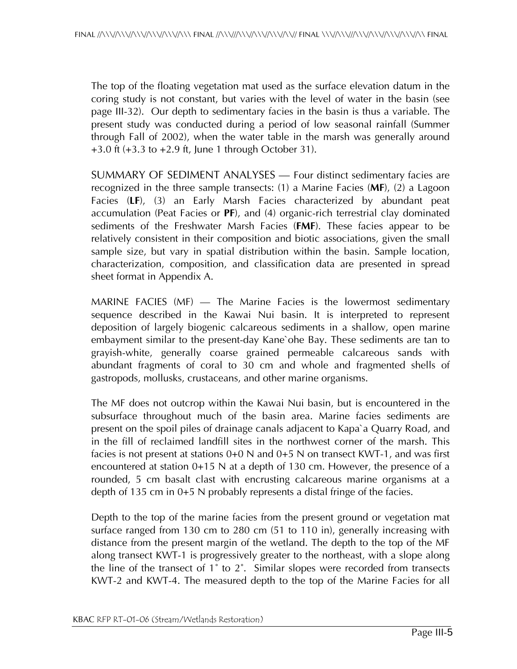The top of the floating vegetation mat used as the surface elevation datum in the coring study is not constant, but varies with the level of water in the basin (see page III-32). Our depth to sedimentary facies in the basin is thus a variable. The present study was conducted during a period of low seasonal rainfall (Summer through Fall of 2002), when the water table in the marsh was generally around +3.0 ft (+3.3 to +2.9 ft, June 1 through October 31).

SUMMARY OF SEDIMENT ANALYSES — Four distinct sedimentary facies are recognized in the three sample transects: (1) a Marine Facies (**MF**), (2) a Lagoon Facies (**LF**), (3) an Early Marsh Facies characterized by abundant peat accumulation (Peat Facies or **PF**), and (4) organic-rich terrestrial clay dominated sediments of the Freshwater Marsh Facies (**FMF**). These facies appear to be relatively consistent in their composition and biotic associations, given the small sample size, but vary in spatial distribution within the basin. Sample location, characterization, composition, and classification data are presented in spread sheet format in Appendix A.

MARINE FACIES (MF) — The Marine Facies is the lowermost sedimentary sequence described in the Kawai Nui basin. It is interpreted to represent deposition of largely biogenic calcareous sediments in a shallow, open marine embayment similar to the present-day Kane`ohe Bay. These sediments are tan to grayish-white, generally coarse grained permeable calcareous sands with abundant fragments of coral to 30 cm and whole and fragmented shells of gastropods, mollusks, crustaceans, and other marine organisms.

The MF does not outcrop within the Kawai Nui basin, but is encountered in the subsurface throughout much of the basin area. Marine facies sediments are present on the spoil piles of drainage canals adjacent to Kapa`a Quarry Road, and in the fill of reclaimed landfill sites in the northwest corner of the marsh. This facies is not present at stations 0+0 N and 0+5 N on transect KWT-1, and was first encountered at station 0+15 N at a depth of 130 cm. However, the presence of a rounded, 5 cm basalt clast with encrusting calcareous marine organisms at a depth of 135 cm in 0+5 N probably represents a distal fringe of the facies.

Depth to the top of the marine facies from the present ground or vegetation mat surface ranged from 130 cm to 280 cm (51 to 110 in), generally increasing with distance from the present margin of the wetland. The depth to the top of the MF along transect KWT-1 is progressively greater to the northeast, with a slope along the line of the transect of 1˚ to 2˚. Similar slopes were recorded from transects KWT-2 and KWT-4. The measured depth to the top of the Marine Facies for all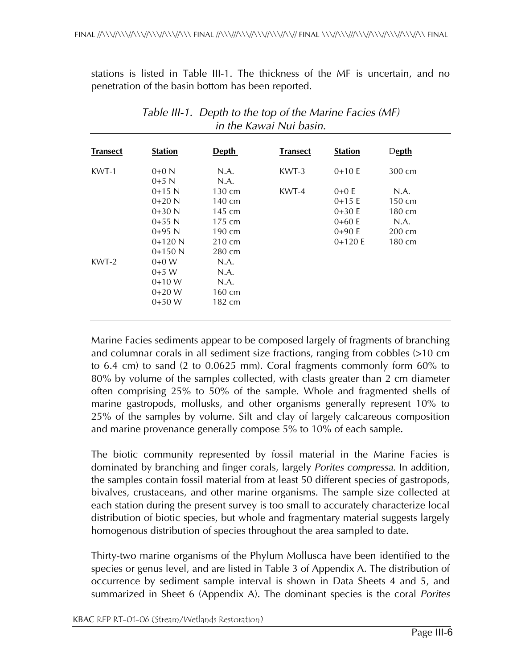|  |  |  |                                                    |  |  | stations is listed in Table III-1. The thickness of the MF is uncertain, and no |  |
|--|--|--|----------------------------------------------------|--|--|---------------------------------------------------------------------------------|--|
|  |  |  | penetration of the basin bottom has been reported. |  |  |                                                                                 |  |

| <b>Transect</b> | <b>Station</b> | <b>Depth</b>     | <b>Transect</b> | <b>Station</b> | <b>Depth</b>     |
|-----------------|----------------|------------------|-----------------|----------------|------------------|
|                 |                |                  |                 |                |                  |
| KWT-1           | $0+0 N$        | N.A.             | KWT-3           | $0+10E$        | 300 cm           |
|                 | $0+5$ N        | N.A.             |                 |                |                  |
|                 | $0+15$ N       | $130 \text{ cm}$ | KWT-4           | $0+0E$         | N.A.             |
|                 | $0+20$ N       | $140 \text{ cm}$ |                 | $0+15E$        | $150 \text{ cm}$ |
|                 | $0+30$ N       | 145 cm           |                 | $0+30E$        | $180 \text{ cm}$ |
|                 | $0+55$ N       | $175 \text{ cm}$ |                 | $0+60E$        | N.A.             |
|                 | $0+95$ N       | $190 \text{ cm}$ |                 | $0+90E$        | $200 \text{ cm}$ |
|                 | $0+120$ N      | $210 \text{ cm}$ |                 | $0+120E$       | $180 \text{ cm}$ |
|                 | $0+150$ N      | $280 \text{ cm}$ |                 |                |                  |
| KWT-2           | $0+0 W$        | N.A.             |                 |                |                  |
|                 | $0+5$ W        | N.A.             |                 |                |                  |
|                 | $0+10 W$       | N.A.             |                 |                |                  |
|                 | $0+20 W$       | $160 \text{ cm}$ |                 |                |                  |
|                 | $0+50 W$       | 182 cm           |                 |                |                  |

Marine Facies sediments appear to be composed largely of fragments of branching and columnar corals in all sediment size fractions, ranging from cobbles (>10 cm to 6.4 cm) to sand (2 to 0.0625 mm). Coral fragments commonly form 60% to 80% by volume of the samples collected, with clasts greater than 2 cm diameter often comprising 25% to 50% of the sample. Whole and fragmented shells of marine gastropods, mollusks, and other organisms generally represent 10% to 25% of the samples by volume. Silt and clay of largely calcareous composition and marine provenance generally compose 5% to 10% of each sample.

The biotic community represented by fossil material in the Marine Facies is dominated by branching and finger corals, largely *Porites compressa*. In addition, the samples contain fossil material from at least 50 different species of gastropods, bivalves, crustaceans, and other marine organisms. The sample size collected at each station during the present survey is too small to accurately characterize local distribution of biotic species, but whole and fragmentary material suggests largely homogenous distribution of species throughout the area sampled to date.

Thirty-two marine organisms of the Phylum Mollusca have been identified to the species or genus level, and are listed in Table 3 of Appendix A. The distribution of occurrence by sediment sample interval is shown in Data Sheets 4 and 5, and summarized in Sheet 6 (Appendix A). The dominant species is the coral *Porites*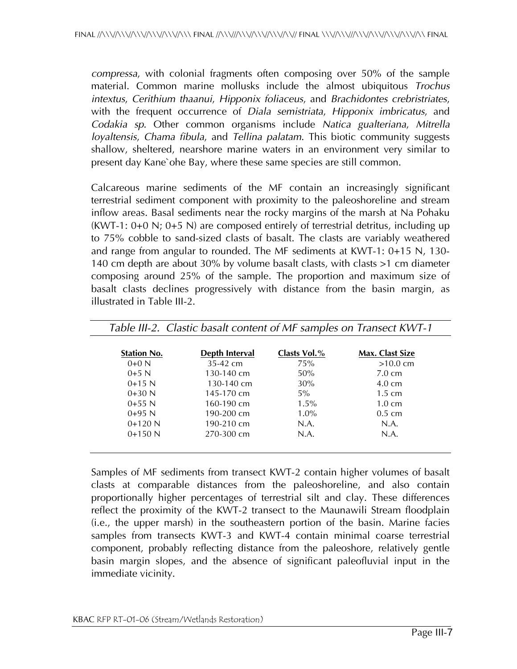*compressa*, with colonial fragments often composing over 50% of the sample material. Common marine mollusks include the almost ubiquitous *Trochus intextus*, *Cerithium thaanui*, *Hipponix foliaceus*, and *Brachidontes crebristriates*, with the frequent occurrence of *Diala semistriata*, *Hipponix imbricatus*, and *Codakia sp*. Other common organisms include *Natica gualteriana*, *Mitrella loyaltensis*, *Chama fibula*, and *Tellina palatam*. This biotic community suggests shallow, sheltered, nearshore marine waters in an environment very similar to present day Kane`ohe Bay, where these same species are still common.

Calcareous marine sediments of the MF contain an increasingly significant terrestrial sediment component with proximity to the paleoshoreline and stream inflow areas. Basal sediments near the rocky margins of the marsh at Na Pohaku (KWT-1: 0+0 N; 0+5 N) are composed entirely of terrestrial detritus, including up to 75% cobble to sand-sized clasts of basalt. The clasts are variably weathered and range from angular to rounded. The MF sediments at KWT-1: 0+15 N, 130- 140 cm depth are about 30% by volume basalt clasts, with clasts >1 cm diameter composing around 25% of the sample. The proportion and maximum size of basalt clasts declines progressively with distance from the basin margin, as illustrated in Table III-2.

| <b>Station No.</b> | <b>Depth Interval</b> | Clasts Vol.% | <b>Max. Clast Size</b> |
|--------------------|-----------------------|--------------|------------------------|
| $0+0 N$            | $35-42$ cm            | 75%          | $>10.0$ cm             |
| $0+5$ N            | $130-140$ cm          | 50%          | $7.0 \text{ cm}$       |
| $0+15$ N           | 130-140 cm            | 30%          | $4.0 \text{ cm}$       |
| $0+30$ N           | 145-170 cm            | 5%           | $1.5 \text{ cm}$       |
| $0+55$ N           | 160-190 cm            | $1.5\%$      | $1.0 \text{ cm}$       |
| $0+95$ N           | 190-200 cm            | $1.0\%$      | $0.5 \text{ cm}$       |
| $0+120$ N          | 190-210 cm            | N.A.         | N.A.                   |
| $0+150$ N          | 270-300 cm            | N.A.         | N.A.                   |

Samples of MF sediments from transect KWT-2 contain higher volumes of basalt clasts at comparable distances from the paleoshoreline, and also contain proportionally higher percentages of terrestrial silt and clay. These differences reflect the proximity of the KWT-2 transect to the Maunawili Stream floodplain (i.e., the upper marsh) in the southeastern portion of the basin. Marine facies samples from transects KWT-3 and KWT-4 contain minimal coarse terrestrial component, probably reflecting distance from the paleoshore, relatively gentle basin margin slopes, and the absence of significant paleofluvial input in the immediate vicinity.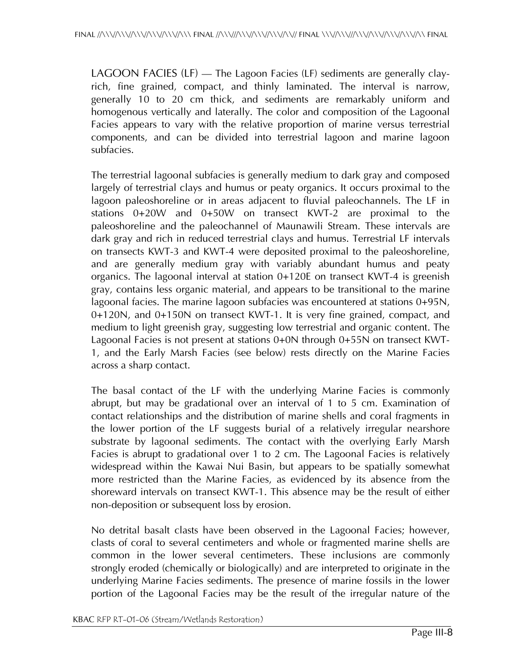LAGOON FACIES (LF) — The Lagoon Facies (LF) sediments are generally clayrich, fine grained, compact, and thinly laminated. The interval is narrow, generally 10 to 20 cm thick, and sediments are remarkably uniform and homogenous vertically and laterally. The color and composition of the Lagoonal Facies appears to vary with the relative proportion of marine versus terrestrial components, and can be divided into terrestrial lagoon and marine lagoon subfacies.

The terrestrial lagoonal subfacies is generally medium to dark gray and composed largely of terrestrial clays and humus or peaty organics. It occurs proximal to the lagoon paleoshoreline or in areas adjacent to fluvial paleochannels. The LF in stations 0+20W and 0+50W on transect KWT-2 are proximal to the paleoshoreline and the paleochannel of Maunawili Stream. These intervals are dark gray and rich in reduced terrestrial clays and humus. Terrestrial LF intervals on transects KWT-3 and KWT-4 were deposited proximal to the paleoshoreline, and are generally medium gray with variably abundant humus and peaty organics. The lagoonal interval at station 0+120E on transect KWT-4 is greenish gray, contains less organic material, and appears to be transitional to the marine lagoonal facies. The marine lagoon subfacies was encountered at stations 0+95N, 0+120N, and 0+150N on transect KWT-1. It is very fine grained, compact, and medium to light greenish gray, suggesting low terrestrial and organic content. The Lagoonal Facies is not present at stations 0+0N through 0+55N on transect KWT-1, and the Early Marsh Facies (see below) rests directly on the Marine Facies across a sharp contact.

The basal contact of the LF with the underlying Marine Facies is commonly abrupt, but may be gradational over an interval of 1 to 5 cm. Examination of contact relationships and the distribution of marine shells and coral fragments in the lower portion of the LF suggests burial of a relatively irregular nearshore substrate by lagoonal sediments. The contact with the overlying Early Marsh Facies is abrupt to gradational over 1 to 2 cm. The Lagoonal Facies is relatively widespread within the Kawai Nui Basin, but appears to be spatially somewhat more restricted than the Marine Facies, as evidenced by its absence from the shoreward intervals on transect KWT-1. This absence may be the result of either non-deposition or subsequent loss by erosion.

No detrital basalt clasts have been observed in the Lagoonal Facies; however, clasts of coral to several centimeters and whole or fragmented marine shells are common in the lower several centimeters. These inclusions are commonly strongly eroded (chemically or biologically) and are interpreted to originate in the underlying Marine Facies sediments. The presence of marine fossils in the lower portion of the Lagoonal Facies may be the result of the irregular nature of the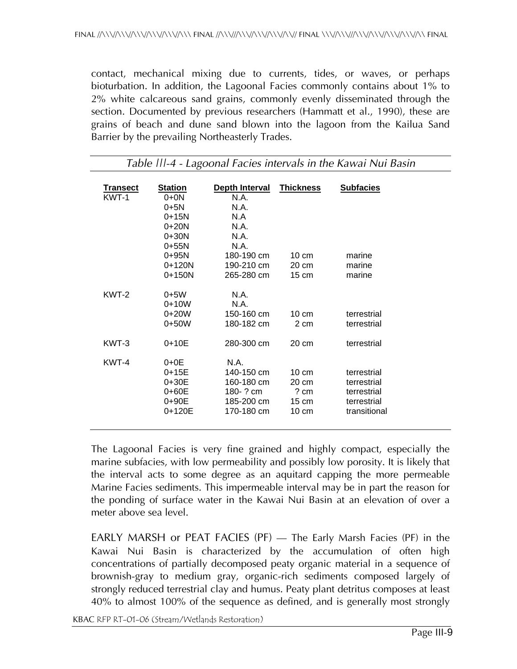contact, mechanical mixing due to currents, tides, or waves, or perhaps bioturbation. In addition, the Lagoonal Facies commonly contains about 1% to 2% white calcareous sand grains, commonly evenly disseminated through the section. Documented by previous researchers (Hammatt et al., 1990), these are grains of beach and dune sand blown into the lagoon from the Kailua Sand Barrier by the prevailing Northeasterly Trades.

| <b>Transect</b><br>KWT-1 | <b>Station</b><br>$0 + 0N$<br>$0 + 5N$<br>$0 + 15N$<br>$0+20N$<br>$0+30N$<br>$0+55N$<br>0+95N | Depth Interval<br>N.A.<br>N.A.<br>N A<br>N.A.<br>N.A.<br>N.A.<br>180-190 cm | <b>Thickness</b><br>$10 \text{ cm}$                                      | <b>Subfacies</b><br>marine                                               |
|--------------------------|-----------------------------------------------------------------------------------------------|-----------------------------------------------------------------------------|--------------------------------------------------------------------------|--------------------------------------------------------------------------|
|                          | $0+120N$<br>$0+150N$                                                                          | 190-210 cm<br>265-280 cm                                                    | $20 \text{ cm}$<br>$15 \text{ cm}$                                       | marine<br>marine                                                         |
| KWT-2                    | $0+5W$<br>$0+10W$<br>$0+20W$<br>$0+50W$                                                       | N.A.<br>N.A.<br>150-160 cm<br>180-182 cm                                    | $10 \text{ cm}$<br>2 cm                                                  | terrestrial<br>terrestrial                                               |
| KWT-3                    | $0+10E$                                                                                       | 280-300 cm                                                                  | $20 \text{ cm}$                                                          | terrestrial                                                              |
| KWT-4                    | $0+0E$<br>$0 + 15E$<br>0+30E<br>0+60E<br>$0+90E$<br>0+120E                                    | N.A.<br>140-150 cm<br>160-180 cm<br>180-? cm<br>185-200 cm<br>170-180 cm    | $10 \text{ cm}$<br>20 cm<br>$?$ cm<br>$15 \text{ cm}$<br>$10 \text{ cm}$ | terrestrial<br>terrestrial<br>terrestrial<br>terrestrial<br>transitional |

*Table |||-4 - Lagoonal Facies intervals in the Kawai Nui Basin* 

The Lagoonal Facies is very fine grained and highly compact, especially the marine subfacies, with low permeability and possibly low porosity. It is likely that the interval acts to some degree as an aquitard capping the more permeable Marine Facies sediments. This impermeable interval may be in part the reason for the ponding of surface water in the Kawai Nui Basin at an elevation of over a meter above sea level.

EARLY MARSH or PEAT FACIES (PF) — The Early Marsh Facies (PF) in the Kawai Nui Basin is characterized by the accumulation of often high concentrations of partially decomposed peaty organic material in a sequence of brownish-gray to medium gray, organic-rich sediments composed largely of strongly reduced terrestrial clay and humus. Peaty plant detritus composes at least 40% to almost 100% of the sequence as defined, and is generally most strongly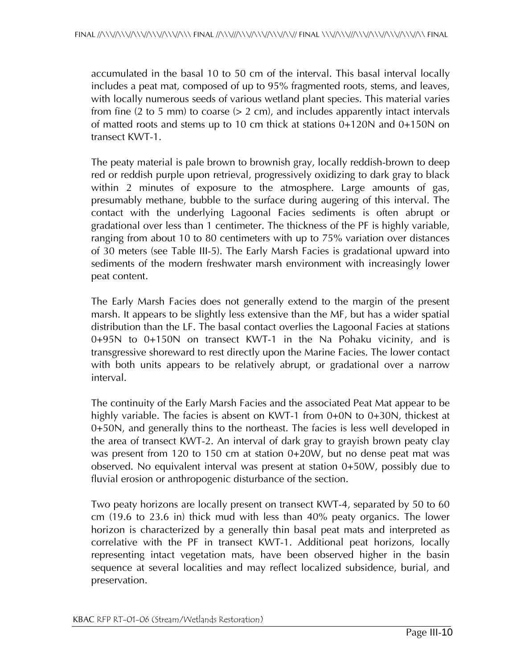accumulated in the basal 10 to 50 cm of the interval. This basal interval locally includes a peat mat, composed of up to 95% fragmented roots, stems, and leaves, with locally numerous seeds of various wetland plant species. This material varies from fine (2 to 5 mm) to coarse ( $> 2$  cm), and includes apparently intact intervals of matted roots and stems up to 10 cm thick at stations 0+120N and 0+150N on transect KWT-1.

The peaty material is pale brown to brownish gray, locally reddish-brown to deep red or reddish purple upon retrieval, progressively oxidizing to dark gray to black within 2 minutes of exposure to the atmosphere. Large amounts of gas, presumably methane, bubble to the surface during augering of this interval. The contact with the underlying Lagoonal Facies sediments is often abrupt or gradational over less than 1 centimeter. The thickness of the PF is highly variable, ranging from about 10 to 80 centimeters with up to 75% variation over distances of 30 meters (see Table III-5). The Early Marsh Facies is gradational upward into sediments of the modern freshwater marsh environment with increasingly lower peat content.

The Early Marsh Facies does not generally extend to the margin of the present marsh. It appears to be slightly less extensive than the MF, but has a wider spatial distribution than the LF. The basal contact overlies the Lagoonal Facies at stations 0+95N to 0+150N on transect KWT-1 in the Na Pohaku vicinity, and is transgressive shoreward to rest directly upon the Marine Facies. The lower contact with both units appears to be relatively abrupt, or gradational over a narrow interval.

The continuity of the Early Marsh Facies and the associated Peat Mat appear to be highly variable. The facies is absent on KWT-1 from 0+0N to 0+30N, thickest at 0+50N, and generally thins to the northeast. The facies is less well developed in the area of transect KWT-2. An interval of dark gray to grayish brown peaty clay was present from 120 to 150 cm at station 0+20W, but no dense peat mat was observed. No equivalent interval was present at station 0+50W, possibly due to fluvial erosion or anthropogenic disturbance of the section.

Two peaty horizons are locally present on transect KWT-4, separated by 50 to 60 cm (19.6 to 23.6 in) thick mud with less than 40% peaty organics. The lower horizon is characterized by a generally thin basal peat mats and interpreted as correlative with the PF in transect KWT-1. Additional peat horizons, locally representing intact vegetation mats, have been observed higher in the basin sequence at several localities and may reflect localized subsidence, burial, and preservation.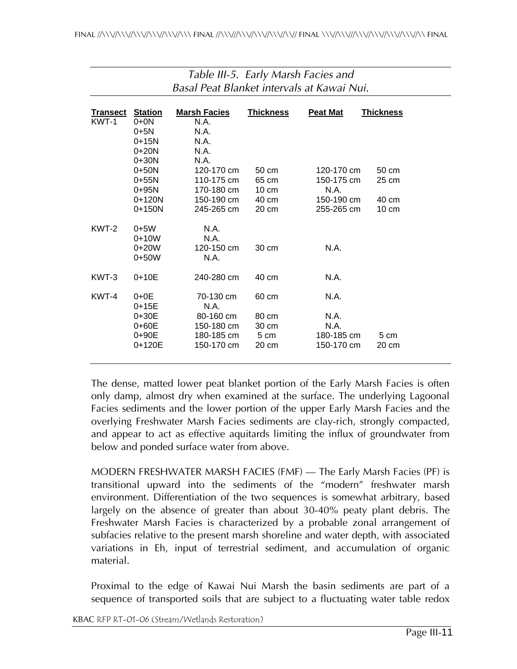| <b>Transect</b> | <b>Station</b> | <b>Marsh Facies</b> | <b>Thickness</b> | <b>Peat Mat</b> | <b>Thickness</b> |
|-----------------|----------------|---------------------|------------------|-----------------|------------------|
| KWT-1           | $0 + 0N$       | N.A.                |                  |                 |                  |
|                 | $0 + 5N$       | N.A.                |                  |                 |                  |
|                 | $0 + 15N$      | N.A.                |                  |                 |                  |
|                 | $0+20N$        | N.A.                |                  |                 |                  |
|                 | $0+30N$        | N.A.                |                  |                 |                  |
|                 | $0+50N$        | 120-170 cm          | 50 cm            | 120-170 cm      | 50 cm            |
|                 | $0+55N$        | 110-175 cm          | 65 cm            | 150-175 cm      | 25 cm            |
|                 | $0+95N$        | 170-180 cm          | $10 \text{ cm}$  | N.A.            |                  |
|                 | $0+120N$       | 150-190 cm          | 40 cm            | 150-190 cm      | 40 cm            |
|                 | $0+150N$       | 245-265 cm          | $20 \text{ cm}$  | 255-265 cm      | $10 \text{ cm}$  |
| KWT-2           | $0 + 5W$       | N.A.                |                  |                 |                  |
|                 | $0+10W$        | N.A.                |                  |                 |                  |
|                 | $0+20W$        | 120-150 cm          | 30 cm            | N.A.            |                  |
|                 | $0+50W$        | N.A.                |                  |                 |                  |
| KWT-3           | $0 + 10E$      | 240-280 cm          | 40 cm            | N.A.            |                  |
| KWT-4           | $0+0E$         | 70-130 cm           | 60 cm            | N.A.            |                  |
|                 | $0 + 15E$      | N.A.                |                  |                 |                  |
|                 | 0+30E          | 80-160 cm           | 80 cm            | N.A.            |                  |
|                 | 0+60E          | 150-180 cm          | 30 cm            | N.A.            |                  |
|                 | $0+90E$        | 180-185 cm          | 5 cm             | 180-185 cm      | 5 cm             |
|                 | 0+120E         | 150-170 cm          | $20 \text{ cm}$  | 150-170 cm      | 20 cm            |

#### *Table III-5. Early Marsh Facies and Basal Peat Blanket intervals at Kawai Nui.*

The dense, matted lower peat blanket portion of the Early Marsh Facies is often only damp, almost dry when examined at the surface. The underlying Lagoonal Facies sediments and the lower portion of the upper Early Marsh Facies and the overlying Freshwater Marsh Facies sediments are clay-rich, strongly compacted, and appear to act as effective aquitards limiting the influx of groundwater from below and ponded surface water from above.

MODERN FRESHWATER MARSH FACIES (FMF) — The Early Marsh Facies (PF) is transitional upward into the sediments of the "modern" freshwater marsh environment. Differentiation of the two sequences is somewhat arbitrary, based largely on the absence of greater than about 30-40% peaty plant debris. The Freshwater Marsh Facies is characterized by a probable zonal arrangement of subfacies relative to the present marsh shoreline and water depth, with associated variations in Eh, input of terrestrial sediment, and accumulation of organic material.

Proximal to the edge of Kawai Nui Marsh the basin sediments are part of a sequence of transported soils that are subject to a fluctuating water table redox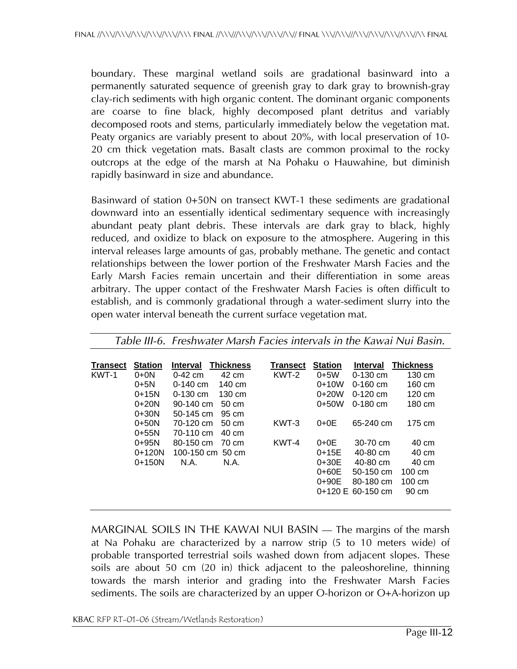boundary. These marginal wetland soils are gradational basinward into a permanently saturated sequence of greenish gray to dark gray to brownish-gray clay-rich sediments with high organic content. The dominant organic components are coarse to fine black, highly decomposed plant detritus and variably decomposed roots and stems, particularly immediately below the vegetation mat. Peaty organics are variably present to about 20%, with local preservation of 10- 20 cm thick vegetation mats. Basalt clasts are common proximal to the rocky outcrops at the edge of the marsh at Na Pohaku o Hauwahine, but diminish rapidly basinward in size and abundance.

Basinward of station 0+50N on transect KWT-1 these sediments are gradational downward into an essentially identical sedimentary sequence with increasingly abundant peaty plant debris. These intervals are dark gray to black, highly reduced, and oxidize to black on exposure to the atmosphere. Augering in this interval releases large amounts of gas, probably methane. The genetic and contact relationships between the lower portion of the Freshwater Marsh Facies and the Early Marsh Facies remain uncertain and their differentiation in some areas arbitrary. The upper contact of the Freshwater Marsh Facies is often difficult to establish, and is commonly gradational through a water-sediment slurry into the open water interval beneath the current surface vegetation mat.

| Transect | <b>Station</b> | <b>Thickness</b><br><b>Interval</b> | <b>Transect</b> | <b>Station</b> | <b>Interval</b>             | <b>Thickness</b> |
|----------|----------------|-------------------------------------|-----------------|----------------|-----------------------------|------------------|
| KWT-1    | $0 + 0N$       | 42 cm<br>$0-42$ cm                  | KWT-2           | $0+5W$         | $0-130$ cm                  | 130 cm           |
|          | $0 + 5N$       | 140 cm<br>$0-140$ cm                |                 | $0+10W$        | $0-160$ cm                  | 160 cm           |
|          | $0+15N$        | $0-130$ cm<br>$130 \text{ cm}$      |                 | $0+20W$        | $0-120$ cm                  | $120 \text{ cm}$ |
|          | $0+20N$        | $90-140$ cm<br>$50 \text{ cm}$      |                 | $0+50W$        | $0-180$ cm                  | 180 cm           |
|          | $0+30N$        | $50-145$ cm<br>95 cm                |                 |                |                             |                  |
|          | $0+50N$        | 70-120 cm<br>$50 \text{ cm}$        | KWT-3           | $0+0E$         | $65-240$ cm                 | $175 \text{ cm}$ |
|          | $0+55N$        | 70-110 cm<br>40 cm                  |                 |                |                             |                  |
|          | $0+95N$        | 80-150 cm<br>70 cm                  | KWT-4           | $0+0E$         | 30-70 cm                    | 40 cm            |
|          | $0+120N$       | 100-150 cm 50 cm                    |                 | $0 + 15E$      | 40-80 cm                    | 40 cm            |
|          | $0+150N$       | N.A.<br>N.A.                        |                 | $0 + 30E$      | 40-80 cm                    | 40 cm            |
|          |                |                                     |                 | $0+60E$        | 50-150 cm                   | $100 \text{ cm}$ |
|          |                |                                     |                 | $0+90E$        | 80-180 cm                   | $100 \text{ cm}$ |
|          |                |                                     |                 |                | $0+120 \text{ E}$ 60-150 cm | 90 cm            |
|          |                |                                     |                 |                |                             |                  |

*Table III-6. Freshwater Marsh Facies intervals in the Kawai Nui Basin.* 

MARGINAL SOILS IN THE KAWAI NUI BASIN — The margins of the marsh at Na Pohaku are characterized by a narrow strip (5 to 10 meters wide) of probable transported terrestrial soils washed down from adjacent slopes. These soils are about 50 cm (20 in) thick adjacent to the paleoshoreline, thinning towards the marsh interior and grading into the Freshwater Marsh Facies sediments. The soils are characterized by an upper O-horizon or O+A-horizon up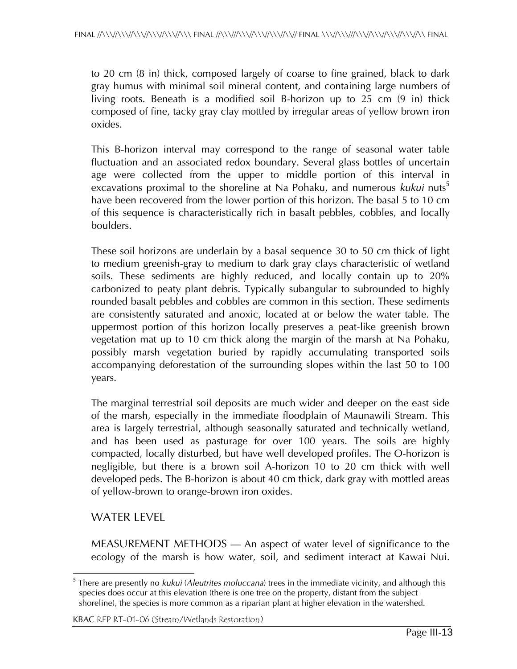to 20 cm (8 in) thick, composed largely of coarse to fine grained, black to dark gray humus with minimal soil mineral content, and containing large numbers of living roots. Beneath is a modified soil B-horizon up to 25 cm (9 in) thick composed of fine, tacky gray clay mottled by irregular areas of yellow brown iron oxides.

This B-horizon interval may correspond to the range of seasonal water table fluctuation and an associated redox boundary. Several glass bottles of uncertain age were collected from the upper to middle portion of this interval in excavations proximal to the shoreline at Na Pohaku, and numerous *kukui* nuts<sup>5</sup> have been recovered from the lower portion of this horizon. The basal 5 to 10 cm of this sequence is characteristically rich in basalt pebbles, cobbles, and locally boulders.

These soil horizons are underlain by a basal sequence 30 to 50 cm thick of light to medium greenish-gray to medium to dark gray clays characteristic of wetland soils. These sediments are highly reduced, and locally contain up to 20% carbonized to peaty plant debris. Typically subangular to subrounded to highly rounded basalt pebbles and cobbles are common in this section. These sediments are consistently saturated and anoxic, located at or below the water table. The uppermost portion of this horizon locally preserves a peat-like greenish brown vegetation mat up to 10 cm thick along the margin of the marsh at Na Pohaku, possibly marsh vegetation buried by rapidly accumulating transported soils accompanying deforestation of the surrounding slopes within the last 50 to 100 years.

The marginal terrestrial soil deposits are much wider and deeper on the east side of the marsh, especially in the immediate floodplain of Maunawili Stream. This area is largely terrestrial, although seasonally saturated and technically wetland, and has been used as pasturage for over 100 years. The soils are highly compacted, locally disturbed, but have well developed profiles. The O-horizon is negligible, but there is a brown soil A-horizon 10 to 20 cm thick with well developed peds. The B-horizon is about 40 cm thick, dark gray with mottled areas of yellow-brown to orange-brown iron oxides.

## WATER LEVEL

MEASUREMENT METHODS — An aspect of water level of significance to the ecology of the marsh is how water, soil, and sediment interact at Kawai Nui.

 $\overline{a}$ 5 There are presently no *kukui* (*Aleutrites moluccana*) trees in the immediate vicinity, and although this species does occur at this elevation (there is one tree on the property, distant from the subject shoreline), the species is more common as a riparian plant at higher elevation in the watershed.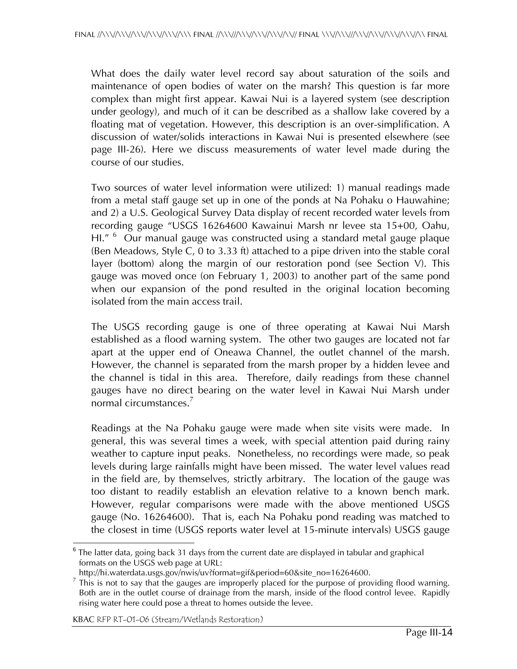What does the daily water level record say about saturation of the soils and maintenance of open bodies of water on the marsh? This question is far more complex than might first appear. Kawai Nui is a layered system (see description under geology), and much of it can be described as a shallow lake covered by a floating mat of vegetation. However, this description is an over-simplification. A discussion of water/solids interactions in Kawai Nui is presented elsewhere (see page III-26). Here we discuss measurements of water level made during the course of our studies.

Two sources of water level information were utilized: 1) manual readings made from a metal staff gauge set up in one of the ponds at Na Pohaku o Hauwahine; and 2) a U.S. Geological Survey Data display of recent recorded water levels from recording gauge "USGS 16264600 Kawainui Marsh nr levee sta 15+00, Oahu, HI." <sup>6</sup> Our manual gauge was constructed using a standard metal gauge plaque (Ben Meadows, Style C, 0 to 3.33 ft) attached to a pipe driven into the stable coral layer (bottom) along the margin of our restoration pond (see Section V). This gauge was moved once (on February 1, 2003) to another part of the same pond when our expansion of the pond resulted in the original location becoming isolated from the main access trail.

The USGS recording gauge is one of three operating at Kawai Nui Marsh established as a flood warning system. The other two gauges are located not far apart at the upper end of Oneawa Channel, the outlet channel of the marsh. However, the channel is separated from the marsh proper by a hidden levee and the channel is tidal in this area. Therefore, daily readings from these channel gauges have no direct bearing on the water level in Kawai Nui Marsh under normal circumstances.<sup>7</sup>

Readings at the Na Pohaku gauge were made when site visits were made. In general, this was several times a week, with special attention paid during rainy weather to capture input peaks. Nonetheless, no recordings were made, so peak levels during large rainfalls might have been missed. The water level values read in the field are, by themselves, strictly arbitrary. The location of the gauge was too distant to readily establish an elevation relative to a known bench mark. However, regular comparisons were made with the above mentioned USGS gauge (No. 16264600). That is, each Na Pohaku pond reading was matched to the closest in time (USGS reports water level at 15-minute intervals) USGS gauge

 $\overline{a}$  $^6$  The latter data, going back 31 days from the current date are displayed in tabular and graphical formats on the USGS web page at URL:

http://hi.waterdata.usgs.gov/nwis/uv?format=gif&period=60&site\_no=16264600.

 $<sup>7</sup>$  This is not to say that the gauges are improperly placed for the purpose of providing flood warning.</sup> Both are in the outlet course of drainage from the marsh, inside of the flood control levee. Rapidly rising water here could pose a threat to homes outside the levee.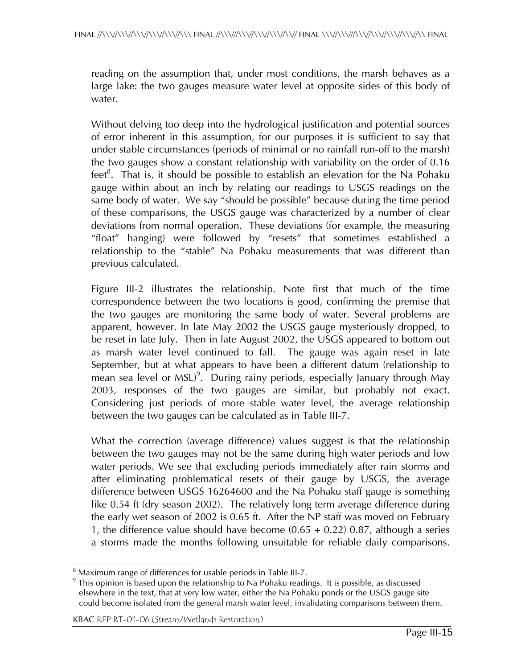reading on the assumption that, under most conditions, the marsh behaves as a large lake: the two gauges measure water level at opposite sides of this body of water.

Without delving too deep into the hydrological justification and potential sources of error inherent in this assumption, for our purposes it is sufficient to say that under stable circumstances (periods of minimal or no rainfall run-off to the marsh) the two gauges show a constant relationship with variability on the order of 0.16 feet<sup>8</sup>. That is, it should be possible to establish an elevation for the Na Pohaku gauge within about an inch by relating our readings to USGS readings on the same body of water. We say "should be possible" because during the time period of these comparisons, the USGS gauge was characterized by a number of clear deviations from normal operation. These deviations (for example, the measuring "float" hanging) were followed by "resets" that sometimes established a relationship to the "stable" Na Pohaku measurements that was different than previous calculated.

Figure III-2 illustrates the relationship. Note first that much of the time correspondence between the two locations is good, confirming the premise that the two gauges are monitoring the same body of water. Several problems are apparent, however. In late May 2002 the USGS gauge mysteriously dropped, to be reset in late July. Then in late August 2002, the USGS appeared to bottom out as marsh water level continued to fall. The gauge was again reset in late September, but at what appears to have been a different datum (relationship to mean sea level or MSL)<sup>9</sup>. During rainy periods, especially January through May 2003, responses of the two gauges are similar, but probably not exact. Considering just periods of more stable water level, the average relationship between the two gauges can be calculated as in Table III-7.

What the correction (average difference) values suggest is that the relationship between the two gauges may not be the same during high water periods and low water periods. We see that excluding periods immediately after rain storms and after eliminating problematical resets of their gauge by USGS, the average difference between USGS 16264600 and the Na Pohaku staff gauge is something like 0.54 ft (dry season 2002). The relatively long term average difference during the early wet season of 2002 is 0.65 ft. After the NP staff was moved on February 1, the difference value should have become  $(0.65 + 0.22)$  0.87, although a series a storms made the months following unsuitable for reliable daily comparisons.

 8 Maximum range of differences for usable periods in Table III-7.

 $^9$  This opinion is based upon the relationship to Na Pohaku readings. It is possible, as discussed elsewhere in the text, that at very low water, either the Na Pohaku ponds or the USGS gauge site could become isolated from the general marsh water level, invalidating comparisons between them.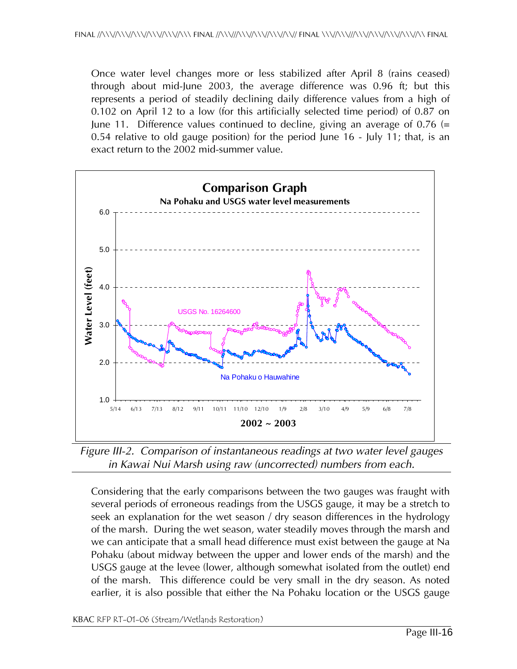Once water level changes more or less stabilized after April 8 (rains ceased) through about mid-June 2003, the average difference was 0.96 ft; but this represents a period of steadily declining daily difference values from a high of 0.102 on April 12 to a low (for this artificially selected time period) of 0.87 on June 11. Difference values continued to decline, giving an average of 0.76  $(=$ 0.54 relative to old gauge position) for the period June 16 - July 11; that, is an exact return to the 2002 mid-summer value.



*Figure III-2. Comparison of instantaneous readings at two water level gauges in Kawai Nui Marsh using raw (uncorrected) numbers from each.* 

Considering that the early comparisons between the two gauges was fraught with several periods of erroneous readings from the USGS gauge, it may be a stretch to seek an explanation for the wet season / dry season differences in the hydrology of the marsh. During the wet season, water steadily moves through the marsh and we can anticipate that a small head difference must exist between the gauge at Na Pohaku (about midway between the upper and lower ends of the marsh) and the USGS gauge at the levee (lower, although somewhat isolated from the outlet) end of the marsh. This difference could be very small in the dry season. As noted earlier, it is also possible that either the Na Pohaku location or the USGS gauge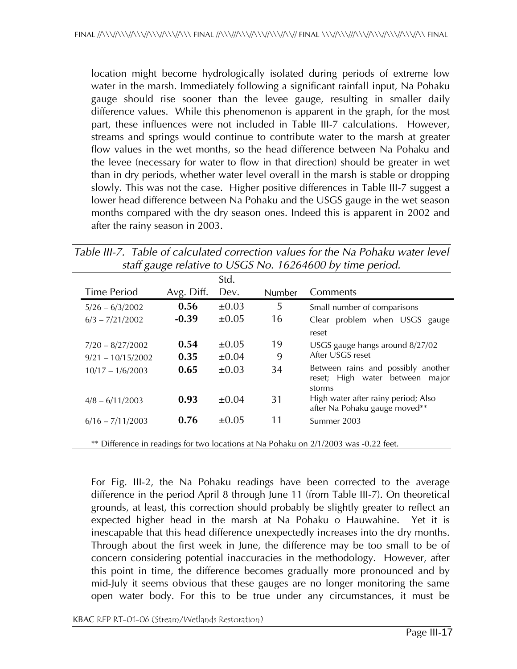location might become hydrologically isolated during periods of extreme low water in the marsh. Immediately following a significant rainfall input, Na Pohaku gauge should rise sooner than the levee gauge, resulting in smaller daily difference values. While this phenomenon is apparent in the graph, for the most part, these influences were not included in Table III-7 calculations. However, streams and springs would continue to contribute water to the marsh at greater flow values in the wet months, so the head difference between Na Pohaku and the levee (necessary for water to flow in that direction) should be greater in wet than in dry periods, whether water level overall in the marsh is stable or dropping slowly. This was not the case. Higher positive differences in Table III-7 suggest a lower head difference between Na Pohaku and the USGS gauge in the wet season months compared with the dry season ones. Indeed this is apparent in 2002 and after the rainy season in 2003.

|  |  | Table III-7. Table of calculated correction values for the Na Pohaku water level |  |
|--|--|----------------------------------------------------------------------------------|--|
|  |  | staff gauge relative to USGS No. 16264600 by time period.                        |  |

|                     |            | Std.       |               |                                                                                    |
|---------------------|------------|------------|---------------|------------------------------------------------------------------------------------|
| <b>Time Period</b>  | Avg. Diff. | Dev.       | <b>Number</b> | Comments                                                                           |
| $5/26 - 6/3/2002$   | 0.56       | $\pm 0.03$ | 5             | Small number of comparisons                                                        |
| $6/3 - 7/21/2002$   | $-0.39$    | $\pm 0.05$ | 16            | Clear problem when USGS gauge                                                      |
|                     |            |            |               | reset                                                                              |
| $7/20 - 8/27/2002$  | 0.54       | $\pm 0.05$ | 19            | USGS gauge hangs around 8/27/02                                                    |
| $9/21 - 10/15/2002$ | 0.35       | $\pm 0.04$ | 9             | After USGS reset                                                                   |
| $10/17 - 1/6/2003$  | 0.65       | $\pm 0.03$ | 34            | Between rains and possibly another<br>reset; High water between<br>major<br>storms |
| $4/8 - 6/11/2003$   | 0.93       | $\pm 0.04$ | 31            | High water after rainy period; Also<br>after Na Pohaku gauge moved**               |
| $6/16 - 7/11/2003$  | 0.76       | $+0.05$    | 11            | Summer 2003                                                                        |

\*\* Difference in readings for two locations at Na Pohaku on 2/1/2003 was -0.22 feet.

For Fig. III-2, the Na Pohaku readings have been corrected to the average difference in the period April 8 through June 11 (from Table III-7). On theoretical grounds, at least, this correction should probably be slightly greater to reflect an expected higher head in the marsh at Na Pohaku o Hauwahine. Yet it is inescapable that this head difference unexpectedly increases into the dry months. Through about the first week in June, the difference may be too small to be of concern considering potential inaccuracies in the methodology. However, after this point in time, the difference becomes gradually more pronounced and by mid-July it seems obvious that these gauges are no longer monitoring the same open water body. For this to be true under any circumstances, it must be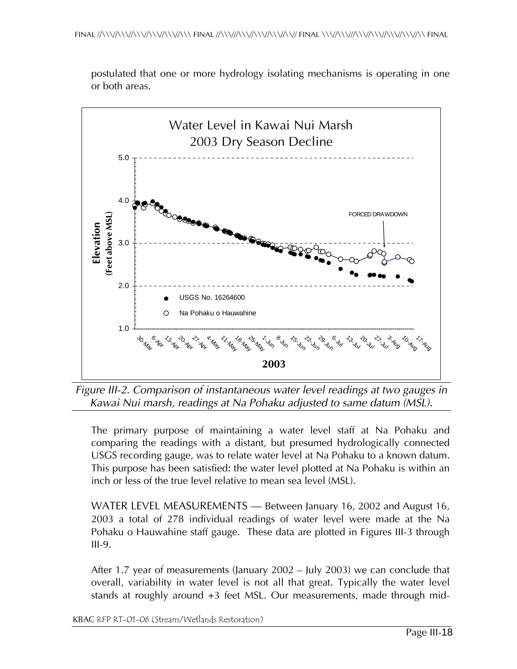

postulated that one or more hydrology isolating mechanisms is operating in one or both areas.

*Figure III-2. Comparison of instantaneous water level readings at two gauges in Kawai Nui marsh, readings at Na Pohaku adjusted to same datum (MSL).* 

The primary purpose of maintaining a water level staff at Na Pohaku and comparing the readings with a distant, but presumed hydrologically connected USGS recording gauge, was to relate water level at Na Pohaku to a known datum. This purpose has been satisfied: the water level plotted at Na Pohaku is within an inch or less of the true level relative to mean sea level (MSL).

WATER LEVEL MEASUREMENTS — Between January 16, 2002 and August 16, 2003 a total of 278 individual readings of water level were made at the Na Pohaku o Hauwahine staff gauge. These data are plotted in Figures III-3 through III-9.

After 1.7 year of measurements (January 2002 – July 2003) we can conclude that overall, variability in water level is not all that great. Typically the water level stands at roughly around +3 feet MSL. Our measurements, made through mid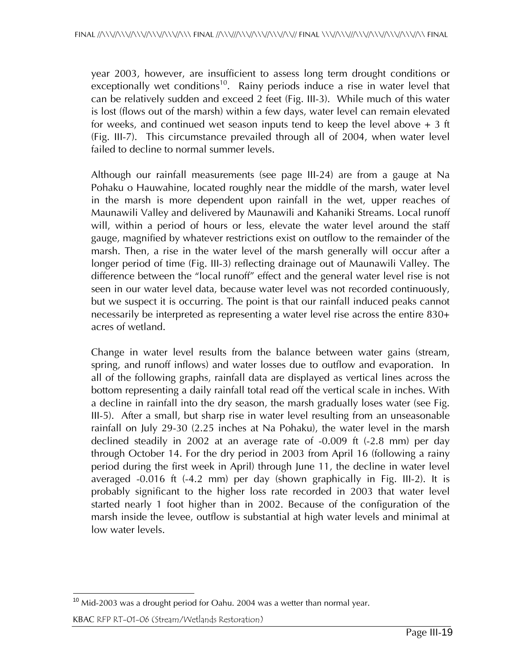year 2003, however, are insufficient to assess long term drought conditions or  $\text{exceptionally wet conditions}^{10}$ . Rainy periods induce a rise in water level that can be relatively sudden and exceed 2 feet (Fig. III-3). While much of this water is lost (flows out of the marsh) within a few days, water level can remain elevated for weeks, and continued wet season inputs tend to keep the level above  $+3$  ft (Fig. III-7). This circumstance prevailed through all of 2004, when water level failed to decline to normal summer levels.

Although our rainfall measurements (see page III-24) are from a gauge at Na Pohaku o Hauwahine, located roughly near the middle of the marsh, water level in the marsh is more dependent upon rainfall in the wet, upper reaches of Maunawili Valley and delivered by Maunawili and Kahaniki Streams. Local runoff will, within a period of hours or less, elevate the water level around the staff gauge, magnified by whatever restrictions exist on outflow to the remainder of the marsh. Then, a rise in the water level of the marsh generally will occur after a longer period of time (Fig. III-3) reflecting drainage out of Maunawili Valley. The difference between the "local runoff" effect and the general water level rise is not seen in our water level data, because water level was not recorded continuously, but we suspect it is occurring. The point is that our rainfall induced peaks cannot necessarily be interpreted as representing a water level rise across the entire 830+ acres of wetland.

Change in water level results from the balance between water gains (stream, spring, and runoff inflows) and water losses due to outflow and evaporation. In all of the following graphs, rainfall data are displayed as vertical lines across the bottom representing a daily rainfall total read off the vertical scale in inches. With a decline in rainfall into the dry season, the marsh gradually loses water (see Fig. III-5). After a small, but sharp rise in water level resulting from an unseasonable rainfall on July 29-30 (2.25 inches at Na Pohaku), the water level in the marsh declined steadily in 2002 at an average rate of -0.009 ft (-2.8 mm) per day through October 14. For the dry period in 2003 from April 16 (following a rainy period during the first week in April) through June 11, the decline in water level averaged -0.016 ft (-4.2 mm) per day (shown graphically in Fig. III-2). It is probably significant to the higher loss rate recorded in 2003 that water level started nearly 1 foot higher than in 2002. Because of the configuration of the marsh inside the levee, outflow is substantial at high water levels and minimal at low water levels.

 $\overline{\phantom{a}}$  $10$  Mid-2003 was a drought period for Oahu. 2004 was a wetter than normal year.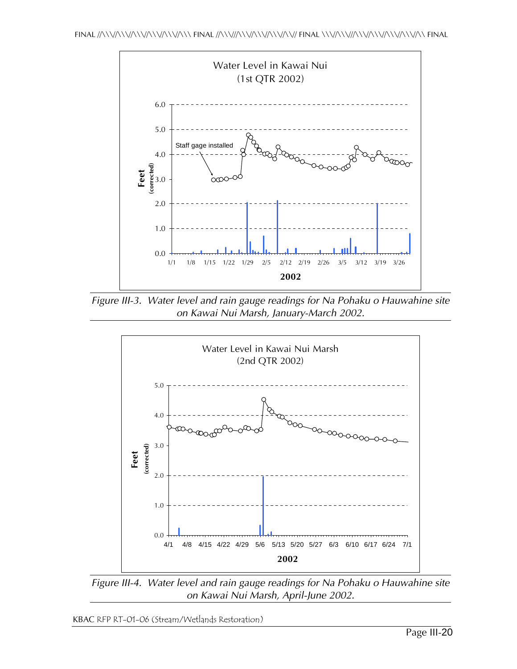

*Figure III-3. Water level and rain gauge readings for Na Pohaku o Hauwahine site on Kawai Nui Marsh, January-March 2002.* 



*Figure III-4. Water level and rain gauge readings for Na Pohaku o Hauwahine site on Kawai Nui Marsh, April-June 2002.*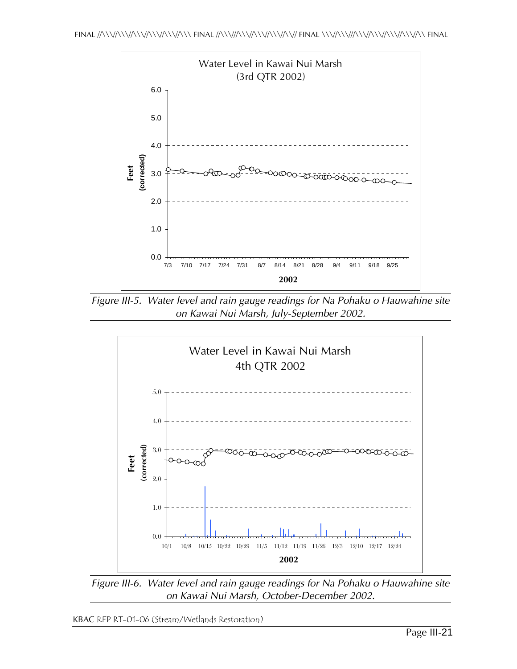

*Figure III-5. Water level and rain gauge readings for Na Pohaku o Hauwahine site on Kawai Nui Marsh, July-September 2002.* 



*Figure III-6. Water level and rain gauge readings for Na Pohaku o Hauwahine site on Kawai Nui Marsh, October-December 2002.*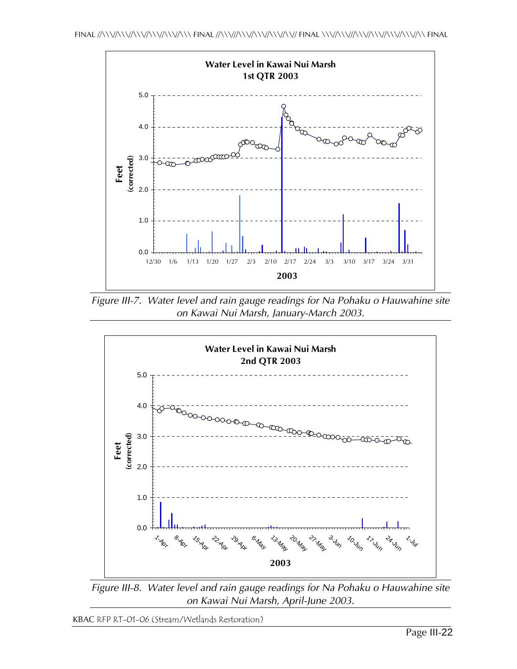

*Figure III-7. Water level and rain gauge readings for Na Pohaku o Hauwahine site on Kawai Nui Marsh, January-March 2003.* 



*Figure III-8. Water level and rain gauge readings for Na Pohaku o Hauwahine site on Kawai Nui Marsh, April-June 2003.*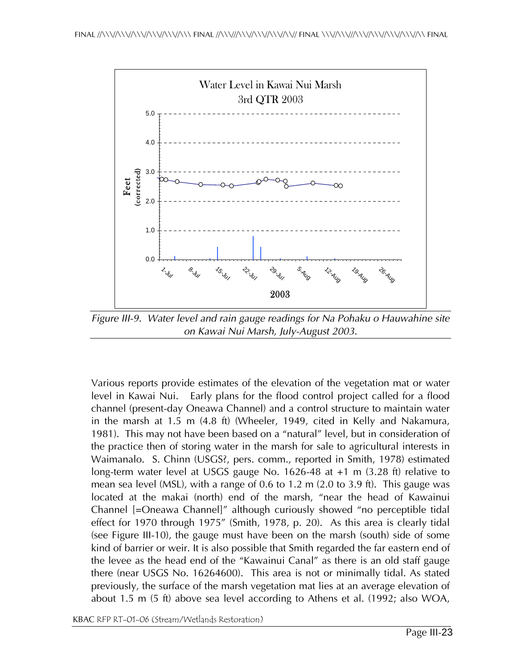

*Figure III-9. Water level and rain gauge readings for Na Pohaku o Hauwahine site on Kawai Nui Marsh, July-August 2003.* 

Various reports provide estimates of the elevation of the vegetation mat or water level in Kawai Nui. Early plans for the flood control project called for a flood channel (present-day Oneawa Channel) and a control structure to maintain water in the marsh at 1.5 m (4.8 ft) (Wheeler, 1949, cited in Kelly and Nakamura, 1981). This may not have been based on a "natural" level, but in consideration of the practice then of storing water in the marsh for sale to agricultural interests in Waimanalo. S. Chinn (USGS?, pers. comm., reported in Smith, 1978) estimated long-term water level at USGS gauge No. 1626-48 at +1 m (3.28 ft) relative to mean sea level (MSL), with a range of 0.6 to 1.2 m (2.0 to 3.9 ft). This gauge was located at the makai (north) end of the marsh, "near the head of Kawainui Channel [=Oneawa Channel]" although curiously showed "no perceptible tidal effect for 1970 through 1975" (Smith, 1978, p. 20). As this area is clearly tidal (see Figure III-10), the gauge must have been on the marsh (south) side of some kind of barrier or weir. It is also possible that Smith regarded the far eastern end of the levee as the head end of the "Kawainui Canal" as there is an old staff gauge there (near USGS No. 16264600). This area is not or minimally tidal. As stated previously, the surface of the marsh vegetation mat lies at an average elevation of about 1.5 m (5 ft) above sea level according to Athens et al. (1992; also WOA,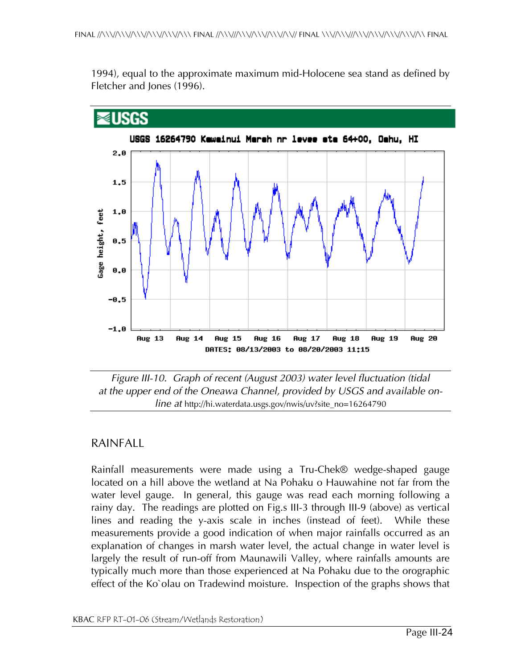1994), equal to the approximate maximum mid-Holocene sea stand as defined by Fletcher and Jones (1996).



*Figure III-10. Graph of recent (August 2003) water level fluctuation (tidal at the upper end of the Oneawa Channel, provided by USGS and available online at* http://hi.waterdata.usgs.gov/nwis/uv?site\_no=16264790

### RAINFALL

Rainfall measurements were made using a Tru-Chek® wedge-shaped gauge located on a hill above the wetland at Na Pohaku o Hauwahine not far from the water level gauge. In general, this gauge was read each morning following a rainy day. The readings are plotted on Fig.s III-3 through III-9 (above) as vertical lines and reading the y-axis scale in inches (instead of feet). While these measurements provide a good indication of when major rainfalls occurred as an explanation of changes in marsh water level, the actual change in water level is largely the result of run-off from Maunawili Valley, where rainfalls amounts are typically much more than those experienced at Na Pohaku due to the orographic effect of the Ko`olau on Tradewind moisture. Inspection of the graphs shows that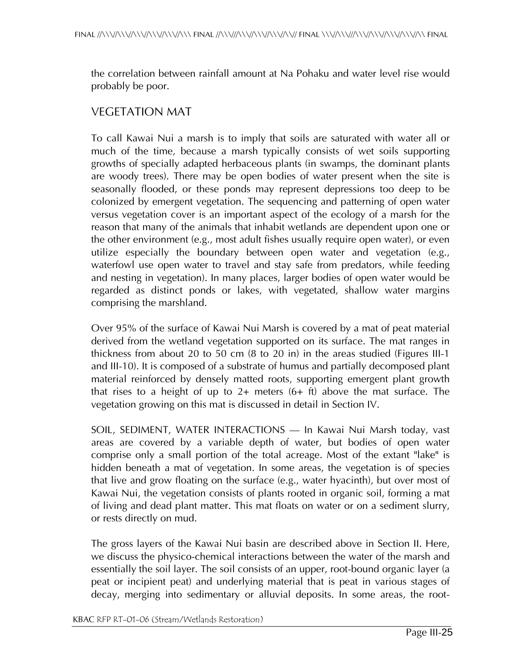the correlation between rainfall amount at Na Pohaku and water level rise would probably be poor.

## VEGETATION MAT

To call Kawai Nui a marsh is to imply that soils are saturated with water all or much of the time, because a marsh typically consists of wet soils supporting growths of specially adapted herbaceous plants (in swamps, the dominant plants are woody trees). There may be open bodies of water present when the site is seasonally flooded, or these ponds may represent depressions too deep to be colonized by emergent vegetation. The sequencing and patterning of open water versus vegetation cover is an important aspect of the ecology of a marsh for the reason that many of the animals that inhabit wetlands are dependent upon one or the other environment (e.g., most adult fishes usually require open water), or even utilize especially the boundary between open water and vegetation (e.g., waterfowl use open water to travel and stay safe from predators, while feeding and nesting in vegetation). In many places, larger bodies of open water would be regarded as distinct ponds or lakes, with vegetated, shallow water margins comprising the marshland.

Over 95% of the surface of Kawai Nui Marsh is covered by a mat of peat material derived from the wetland vegetation supported on its surface. The mat ranges in thickness from about 20 to 50 cm (8 to 20 in) in the areas studied (Figures III-1 and III-10). It is composed of a substrate of humus and partially decomposed plant material reinforced by densely matted roots, supporting emergent plant growth that rises to a height of up to  $2+$  meters  $(6+$  ft) above the mat surface. The vegetation growing on this mat is discussed in detail in Section IV.

SOIL, SEDIMENT, WATER INTERACTIONS — In Kawai Nui Marsh today, vast areas are covered by a variable depth of water, but bodies of open water comprise only a small portion of the total acreage. Most of the extant "lake" is hidden beneath a mat of vegetation. In some areas, the vegetation is of species that live and grow floating on the surface (e.g., water hyacinth), but over most of Kawai Nui, the vegetation consists of plants rooted in organic soil, forming a mat of living and dead plant matter. This mat floats on water or on a sediment slurry, or rests directly on mud.

The gross layers of the Kawai Nui basin are described above in Section II. Here, we discuss the physico-chemical interactions between the water of the marsh and essentially the soil layer. The soil consists of an upper, root-bound organic layer (a peat or incipient peat) and underlying material that is peat in various stages of decay, merging into sedimentary or alluvial deposits. In some areas, the root-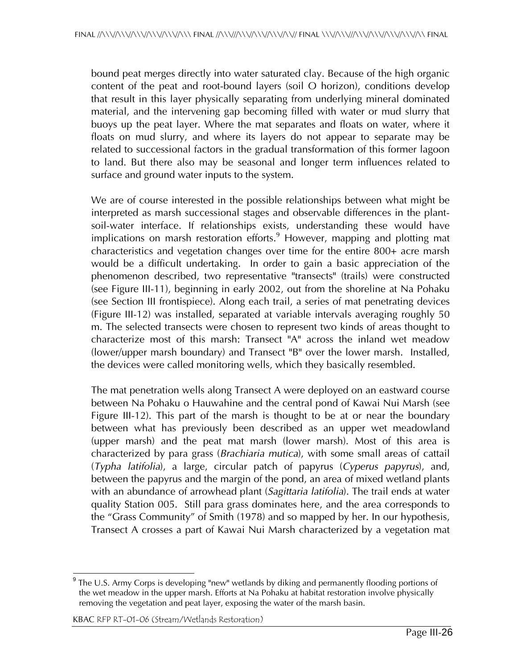bound peat merges directly into water saturated clay. Because of the high organic content of the peat and root-bound layers (soil O horizon), conditions develop that result in this layer physically separating from underlying mineral dominated material, and the intervening gap becoming filled with water or mud slurry that buoys up the peat layer. Where the mat separates and floats on water, where it floats on mud slurry, and where its layers do not appear to separate may be related to successional factors in the gradual transformation of this former lagoon to land. But there also may be seasonal and longer term influences related to surface and ground water inputs to the system.

We are of course interested in the possible relationships between what might be interpreted as marsh successional stages and observable differences in the plantsoil-water interface. If relationships exists, understanding these would have implications on marsh restoration efforts.<sup>9</sup> However, mapping and plotting mat characteristics and vegetation changes over time for the entire 800+ acre marsh would be a difficult undertaking. In order to gain a basic appreciation of the phenomenon described, two representative "transects" (trails) were constructed (see Figure III-11), beginning in early 2002, out from the shoreline at Na Pohaku (see Section III frontispiece). Along each trail, a series of mat penetrating devices (Figure III-12) was installed, separated at variable intervals averaging roughly 50 m. The selected transects were chosen to represent two kinds of areas thought to characterize most of this marsh: Transect "A" across the inland wet meadow (lower/upper marsh boundary) and Transect "B" over the lower marsh. Installed, the devices were called monitoring wells, which they basically resembled.

The mat penetration wells along Transect A were deployed on an eastward course between Na Pohaku o Hauwahine and the central pond of Kawai Nui Marsh (see Figure III-12). This part of the marsh is thought to be at or near the boundary between what has previously been described as an upper wet meadowland (upper marsh) and the peat mat marsh (lower marsh). Most of this area is characterized by para grass (*Brachiaria mutica*), with some small areas of cattail (*Typha latifolia*), a large, circular patch of papyrus (*Cyperus papyrus*), and, between the papyrus and the margin of the pond, an area of mixed wetland plants with an abundance of arrowhead plant (*Sagittaria latifolia*). The trail ends at water quality Station 005. Still para grass dominates here, and the area corresponds to the "Grass Community" of Smith (1978) and so mapped by her. In our hypothesis, Transect A crosses a part of Kawai Nui Marsh characterized by a vegetation mat

 $\overline{a}$ <sup>9</sup> The U.S. Army Corps is developing "new" wetlands by diking and permanently flooding portions of the wet meadow in the upper marsh. Efforts at Na Pohaku at habitat restoration involve physically removing the vegetation and peat layer, exposing the water of the marsh basin.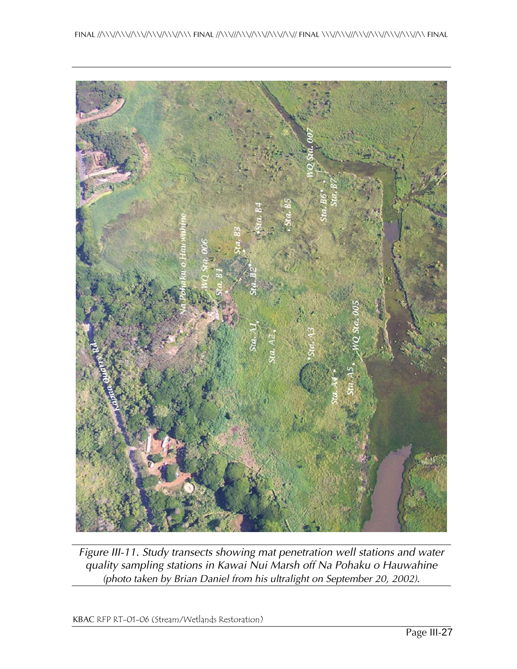

*Figure III-11. Study transects showing mat penetration well stations and water quality sampling stations in Kawai Nui Marsh off Na Pohaku o Hauwahine (photo taken by Brian Daniel from his ultralight on September 20, 2002).*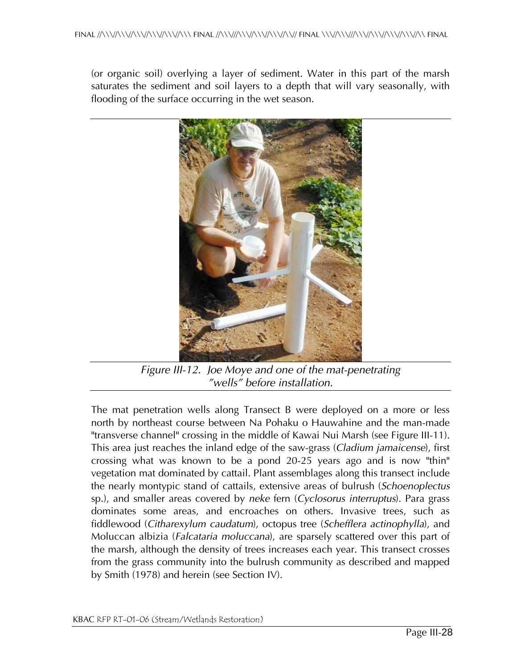(or organic soil) overlying a layer of sediment. Water in this part of the marsh saturates the sediment and soil layers to a depth that will vary seasonally, with flooding of the surface occurring in the wet season.



*Figure III-12. Joe Moye and one of the mat-penetrating "wells" before installation.* 

The mat penetration wells along Transect B were deployed on a more or less north by northeast course between Na Pohaku o Hauwahine and the man-made "transverse channel" crossing in the middle of Kawai Nui Marsh (see Figure III-11). This area just reaches the inland edge of the saw-grass (*Cladium jamaicense*), first crossing what was known to be a pond 20-25 years ago and is now "thin" vegetation mat dominated by cattail. Plant assemblages along this transect include the nearly montypic stand of cattails, extensive areas of bulrush (*Schoenoplectus* sp.), and smaller areas covered by *neke* fern (*Cyclosorus interruptus*). Para grass dominates some areas, and encroaches on others. Invasive trees, such as fiddlewood (*Citharexylum caudatum*), octopus tree (*Schefflera actinophylla*), and Moluccan albizia (*Falcataria moluccana*), are sparsely scattered over this part of the marsh, although the density of trees increases each year. This transect crosses from the grass community into the bulrush community as described and mapped by Smith (1978) and herein (see Section IV).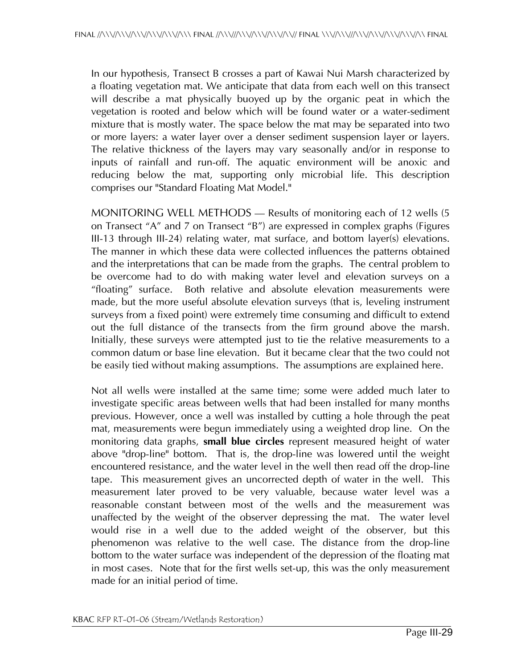In our hypothesis, Transect B crosses a part of Kawai Nui Marsh characterized by a floating vegetation mat. We anticipate that data from each well on this transect will describe a mat physically buoyed up by the organic peat in which the vegetation is rooted and below which will be found water or a water-sediment mixture that is mostly water. The space below the mat may be separated into two or more layers: a water layer over a denser sediment suspension layer or layers. The relative thickness of the layers may vary seasonally and/or in response to inputs of rainfall and run-off. The aquatic environment will be anoxic and reducing below the mat, supporting only microbial life. This description comprises our "Standard Floating Mat Model."

MONITORING WELL METHODS — Results of monitoring each of 12 wells (5 on Transect "A" and 7 on Transect "B") are expressed in complex graphs (Figures III-13 through III-24) relating water, mat surface, and bottom layer(s) elevations. The manner in which these data were collected influences the patterns obtained and the interpretations that can be made from the graphs. The central problem to be overcome had to do with making water level and elevation surveys on a "floating" surface. Both relative and absolute elevation measurements were made, but the more useful absolute elevation surveys (that is, leveling instrument surveys from a fixed point) were extremely time consuming and difficult to extend out the full distance of the transects from the firm ground above the marsh. Initially, these surveys were attempted just to tie the relative measurements to a common datum or base line elevation. But it became clear that the two could not be easily tied without making assumptions. The assumptions are explained here.

Not all wells were installed at the same time; some were added much later to investigate specific areas between wells that had been installed for many months previous. However, once a well was installed by cutting a hole through the peat mat, measurements were begun immediately using a weighted drop line. On the monitoring data graphs, **small blue circles** represent measured height of water above "drop-line" bottom. That is, the drop-line was lowered until the weight encountered resistance, and the water level in the well then read off the drop-line tape. This measurement gives an uncorrected depth of water in the well. This measurement later proved to be very valuable, because water level was a reasonable constant between most of the wells and the measurement was unaffected by the weight of the observer depressing the mat. The water level would rise in a well due to the added weight of the observer, but this phenomenon was relative to the well case. The distance from the drop-line bottom to the water surface was independent of the depression of the floating mat in most cases. Note that for the first wells set-up, this was the only measurement made for an initial period of time.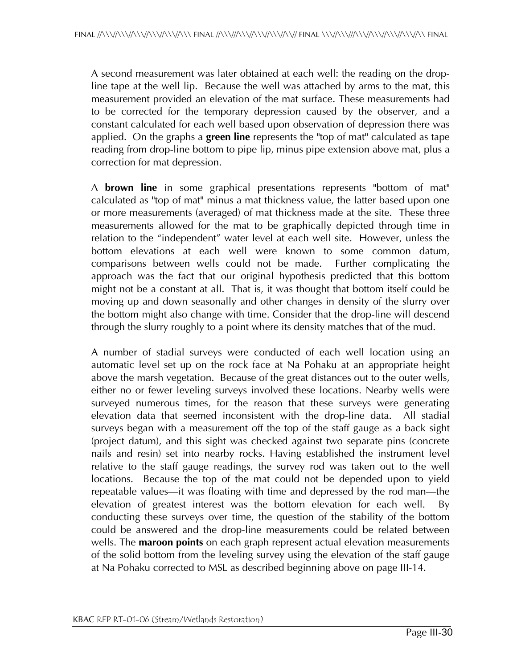A second measurement was later obtained at each well: the reading on the dropline tape at the well lip. Because the well was attached by arms to the mat, this measurement provided an elevation of the mat surface. These measurements had to be corrected for the temporary depression caused by the observer, and a constant calculated for each well based upon observation of depression there was applied. On the graphs a **green line** represents the "top of mat" calculated as tape reading from drop-line bottom to pipe lip, minus pipe extension above mat, plus a correction for mat depression.

A **brown line** in some graphical presentations represents "bottom of mat" calculated as "top of mat" minus a mat thickness value, the latter based upon one or more measurements (averaged) of mat thickness made at the site. These three measurements allowed for the mat to be graphically depicted through time in relation to the "independent" water level at each well site. However, unless the bottom elevations at each well were known to some common datum, comparisons between wells could not be made. Further complicating the approach was the fact that our original hypothesis predicted that this bottom might not be a constant at all. That is, it was thought that bottom itself could be moving up and down seasonally and other changes in density of the slurry over the bottom might also change with time. Consider that the drop-line will descend through the slurry roughly to a point where its density matches that of the mud.

A number of stadial surveys were conducted of each well location using an automatic level set up on the rock face at Na Pohaku at an appropriate height above the marsh vegetation. Because of the great distances out to the outer wells, either no or fewer leveling surveys involved these locations. Nearby wells were surveyed numerous times, for the reason that these surveys were generating elevation data that seemed inconsistent with the drop-line data. All stadial surveys began with a measurement off the top of the staff gauge as a back sight (project datum), and this sight was checked against two separate pins (concrete nails and resin) set into nearby rocks. Having established the instrument level relative to the staff gauge readings, the survey rod was taken out to the well locations. Because the top of the mat could not be depended upon to yield repeatable values—it was floating with time and depressed by the rod man—the elevation of greatest interest was the bottom elevation for each well. By conducting these surveys over time, the question of the stability of the bottom could be answered and the drop-line measurements could be related between wells. The **maroon points** on each graph represent actual elevation measurements of the solid bottom from the leveling survey using the elevation of the staff gauge at Na Pohaku corrected to MSL as described beginning above on page III-14.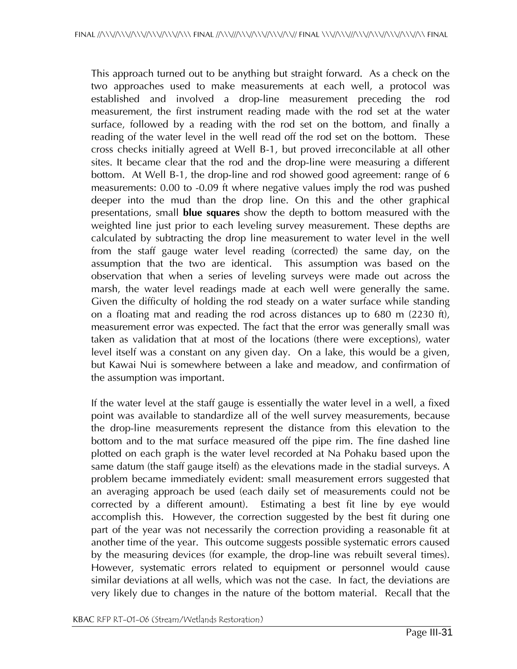This approach turned out to be anything but straight forward. As a check on the two approaches used to make measurements at each well, a protocol was established and involved a drop-line measurement preceding the rod measurement, the first instrument reading made with the rod set at the water surface, followed by a reading with the rod set on the bottom, and finally a reading of the water level in the well read off the rod set on the bottom. These cross checks initially agreed at Well B-1, but proved irreconcilable at all other sites. It became clear that the rod and the drop-line were measuring a different bottom. At Well B-1, the drop-line and rod showed good agreement: range of 6 measurements: 0.00 to -0.09 ft where negative values imply the rod was pushed deeper into the mud than the drop line. On this and the other graphical presentations, small **blue squares** show the depth to bottom measured with the weighted line just prior to each leveling survey measurement. These depths are calculated by subtracting the drop line measurement to water level in the well from the staff gauge water level reading (corrected) the same day, on the assumption that the two are identical. This assumption was based on the observation that when a series of leveling surveys were made out across the marsh, the water level readings made at each well were generally the same. Given the difficulty of holding the rod steady on a water surface while standing on a floating mat and reading the rod across distances up to 680 m (2230 ft), measurement error was expected. The fact that the error was generally small was taken as validation that at most of the locations (there were exceptions), water level itself was a constant on any given day. On a lake, this would be a given, but Kawai Nui is somewhere between a lake and meadow, and confirmation of the assumption was important.

If the water level at the staff gauge is essentially the water level in a well, a fixed point was available to standardize all of the well survey measurements, because the drop-line measurements represent the distance from this elevation to the bottom and to the mat surface measured off the pipe rim. The fine dashed line plotted on each graph is the water level recorded at Na Pohaku based upon the same datum (the staff gauge itself) as the elevations made in the stadial surveys. A problem became immediately evident: small measurement errors suggested that an averaging approach be used (each daily set of measurements could not be corrected by a different amount). Estimating a best fit line by eye would accomplish this. However, the correction suggested by the best fit during one part of the year was not necessarily the correction providing a reasonable fit at another time of the year. This outcome suggests possible systematic errors caused by the measuring devices (for example, the drop-line was rebuilt several times). However, systematic errors related to equipment or personnel would cause similar deviations at all wells, which was not the case. In fact, the deviations are very likely due to changes in the nature of the bottom material. Recall that the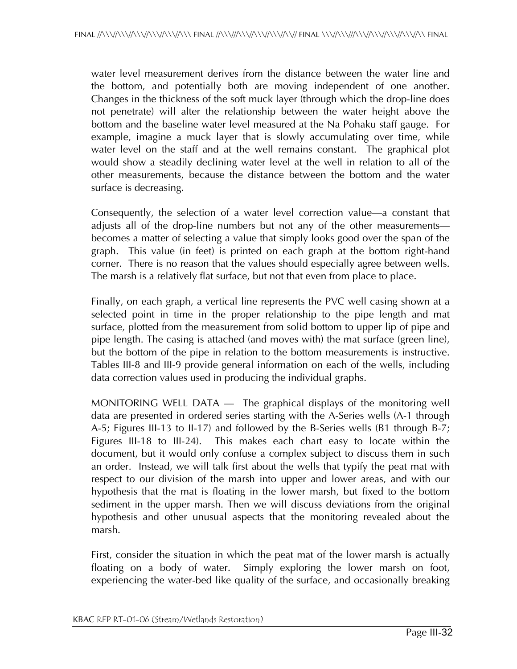water level measurement derives from the distance between the water line and the bottom, and potentially both are moving independent of one another. Changes in the thickness of the soft muck layer (through which the drop-line does not penetrate) will alter the relationship between the water height above the bottom and the baseline water level measured at the Na Pohaku staff gauge. For example, imagine a muck layer that is slowly accumulating over time, while water level on the staff and at the well remains constant. The graphical plot would show a steadily declining water level at the well in relation to all of the other measurements, because the distance between the bottom and the water surface is decreasing.

Consequently, the selection of a water level correction value—a constant that adjusts all of the drop-line numbers but not any of the other measurements becomes a matter of selecting a value that simply looks good over the span of the graph. This value (in feet) is printed on each graph at the bottom right-hand corner. There is no reason that the values should especially agree between wells. The marsh is a relatively flat surface, but not that even from place to place.

Finally, on each graph, a vertical line represents the PVC well casing shown at a selected point in time in the proper relationship to the pipe length and mat surface, plotted from the measurement from solid bottom to upper lip of pipe and pipe length. The casing is attached (and moves with) the mat surface (green line), but the bottom of the pipe in relation to the bottom measurements is instructive. Tables III-8 and III-9 provide general information on each of the wells, including data correction values used in producing the individual graphs.

MONITORING WELL DATA — The graphical displays of the monitoring well data are presented in ordered series starting with the A-Series wells (A-1 through A-5; Figures III-13 to II-17) and followed by the B-Series wells (B1 through B-7; Figures III-18 to III-24). This makes each chart easy to locate within the document, but it would only confuse a complex subject to discuss them in such an order. Instead, we will talk first about the wells that typify the peat mat with respect to our division of the marsh into upper and lower areas, and with our hypothesis that the mat is floating in the lower marsh, but fixed to the bottom sediment in the upper marsh. Then we will discuss deviations from the original hypothesis and other unusual aspects that the monitoring revealed about the marsh.

First, consider the situation in which the peat mat of the lower marsh is actually floating on a body of water. Simply exploring the lower marsh on foot, experiencing the water-bed like quality of the surface, and occasionally breaking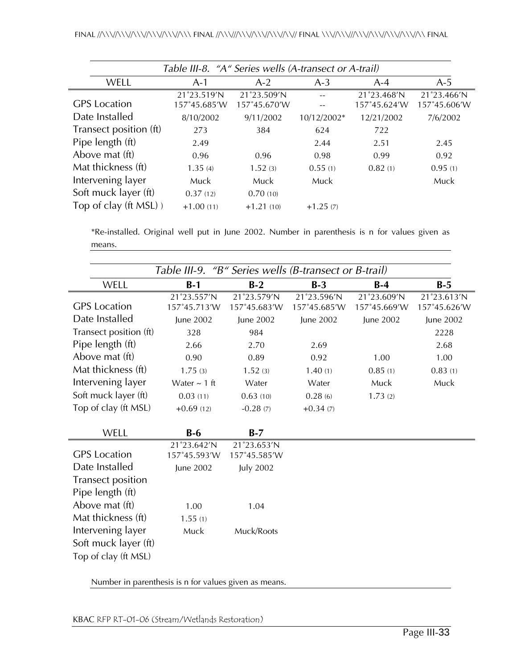| Table III-8. "A" Series wells (A-transect or A-trail) |                                                                                                                                                                                                   |              |              |             |              |  |  |  |
|-------------------------------------------------------|---------------------------------------------------------------------------------------------------------------------------------------------------------------------------------------------------|--------------|--------------|-------------|--------------|--|--|--|
| <b>WELL</b>                                           | $A-1$                                                                                                                                                                                             | $A-2$        | $A-3$        | $A-4$       | $A-5$        |  |  |  |
|                                                       | 21°23.519'N                                                                                                                                                                                       | 21°23.509'N  |              | 21°23.468'N | 21°23.466'N  |  |  |  |
|                                                       |                                                                                                                                                                                                   |              |              |             | 157°45.606'W |  |  |  |
|                                                       | 8/10/2002                                                                                                                                                                                         | 9/11/2002    | 10/12/2002*  | 12/21/2002  | 7/6/2002     |  |  |  |
|                                                       | 273                                                                                                                                                                                               | 384          | 624          | 722         |              |  |  |  |
|                                                       | 2.49                                                                                                                                                                                              |              | 2.44         | 2.51        | 2.45         |  |  |  |
|                                                       | 0.96                                                                                                                                                                                              | 0.96         | 0.98         | 0.99        | 0.92         |  |  |  |
|                                                       | 1.35(4)                                                                                                                                                                                           | 1.52(3)      | 0.55(1)      | 0.82(1)     | 0.95(1)      |  |  |  |
|                                                       | Muck                                                                                                                                                                                              | Muck         | Muck         |             | Muck         |  |  |  |
|                                                       | 0.37(12)                                                                                                                                                                                          | 0.70(10)     |              |             |              |  |  |  |
|                                                       | $+1.00(11)$                                                                                                                                                                                       | $+1.21(10)$  | $+1.25(7)$   |             |              |  |  |  |
|                                                       | <b>GPS</b> Location<br>Date Installed<br>Transect position (ft)<br>Pipe length (ft)<br>Above mat (ft)<br>Mat thickness (ft)<br>Intervening layer<br>Soft muck layer (ft)<br>Top of clay (ft MSL)) | 157°45.685'W | 157°45.670'W |             | 157°45.624′W |  |  |  |

\*Re-installed. Original well put in June 2002. Number in parenthesis is n for values given as means.

|                                                                   | Table III-9.<br>"B" Series wells (B-transect or B-trail) |                             |                             |                             |                             |  |  |  |
|-------------------------------------------------------------------|----------------------------------------------------------|-----------------------------|-----------------------------|-----------------------------|-----------------------------|--|--|--|
| WELL                                                              | $B-1$                                                    | $B-2$                       | $B-3$                       | $B-4$                       | $B-5$                       |  |  |  |
| <b>GPS</b> Location                                               | 21°23.557'N<br>157°45.713′W                              | 21°23.579'N<br>157°45.683'W | 21°23.596'N<br>157°45.685'W | 21°23.609'N<br>157°45.669'W | 21°23.613'N<br>157°45.626'W |  |  |  |
| Date Installed                                                    | June 2002                                                | June 2002                   | June 2002                   | June 2002                   | June 2002                   |  |  |  |
| Transect position (ft)                                            | 328                                                      | 984                         |                             |                             | 2228                        |  |  |  |
| Pipe length (ft)                                                  | 2.66                                                     | 2.70                        | 2.69                        |                             | 2.68                        |  |  |  |
| Above mat (ft)                                                    | 0.90                                                     | 0.89                        | 0.92                        | 1.00                        | 1.00                        |  |  |  |
| Mat thickness (ft)                                                | 1.75(3)                                                  | 1.52(3)                     | 1.40(1)                     | 0.85(1)                     | 0.83(1)                     |  |  |  |
| Intervening layer                                                 | Water $\sim$ 1 ft                                        | Water                       | Water                       | Muck                        | Muck                        |  |  |  |
| Soft muck layer (ft)                                              | 0.03(11)                                                 | 0.63(10)                    | 0.28(6)                     | 1.73(2)                     |                             |  |  |  |
| Top of clay (ft MSL)                                              | $+0.69(12)$                                              | $-0.28(7)$                  | $+0.34(7)$                  |                             |                             |  |  |  |
| WELL                                                              | $B-6$                                                    | $B-7$                       |                             |                             |                             |  |  |  |
| <b>GPS</b> Location                                               | 21°23.642'N<br>157°45.593'W                              | 21°23.653'N<br>157°45.585'W |                             |                             |                             |  |  |  |
| Date Installed                                                    | June 2002                                                | <b>July 2002</b>            |                             |                             |                             |  |  |  |
| <b>Transect position</b>                                          |                                                          |                             |                             |                             |                             |  |  |  |
| Pipe length (ft)                                                  |                                                          |                             |                             |                             |                             |  |  |  |
| Above mat (ft)                                                    | 1.00                                                     | 1.04                        |                             |                             |                             |  |  |  |
| Mat thickness (ft)                                                | 1.55(1)                                                  |                             |                             |                             |                             |  |  |  |
| Intervening layer<br>Soft muck layer (ft)<br>Top of clay (ft MSL) | Muck                                                     | Muck/Roots                  |                             |                             |                             |  |  |  |

Number in parenthesis is n for values given as means.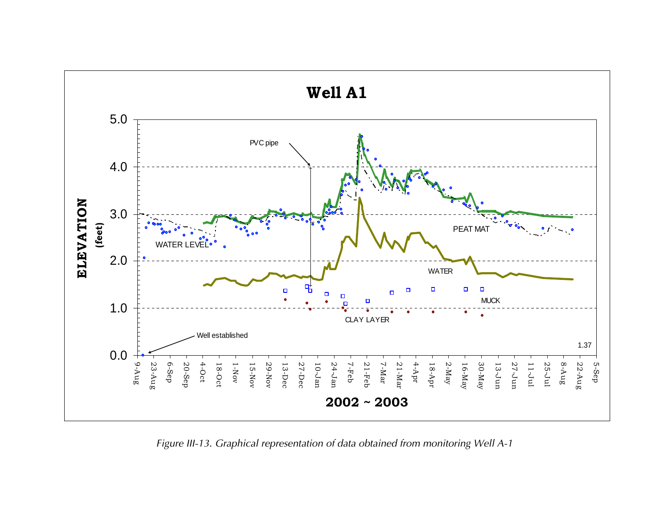

*Figure III-13. Graphical representation of data obtained from monitoring Well A-1*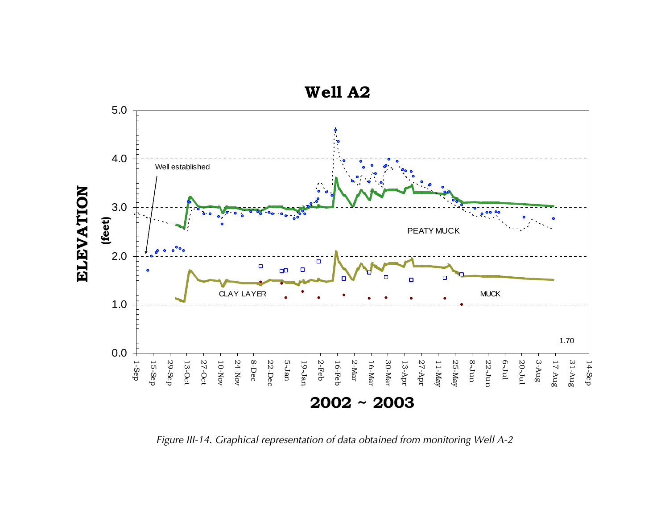

*Figure III-14. Graphical representation of data obtained from monitoring Well A-2*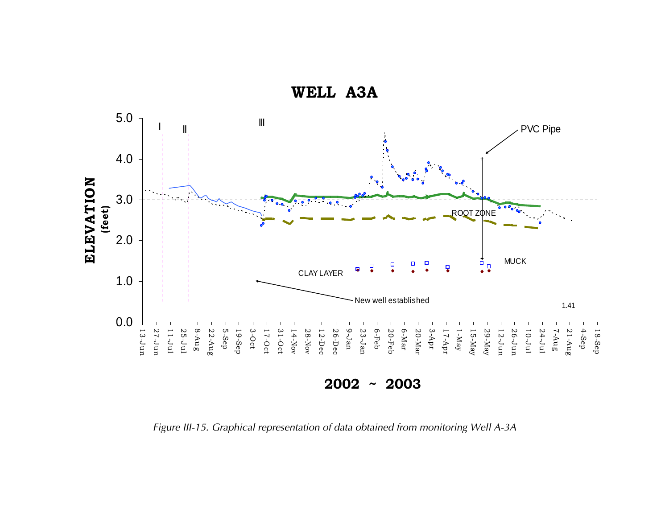

*Figure III-15. Graphical representation of data obtained from monitoring Well A-3A*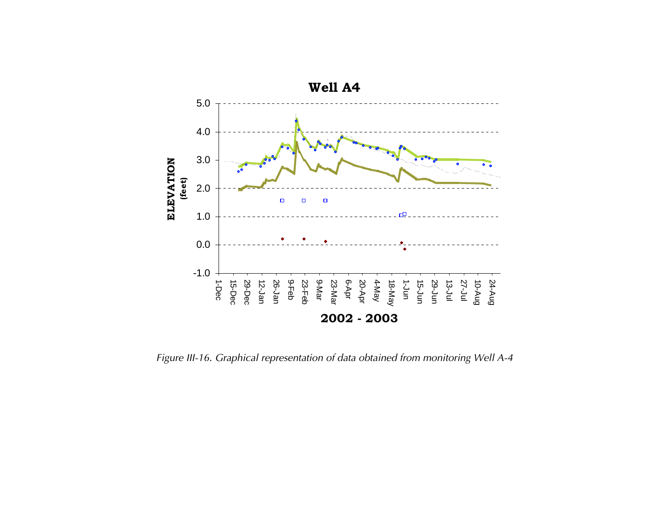

*Figure III-16. Graphical representation of data obtained from monitoring Well A-4*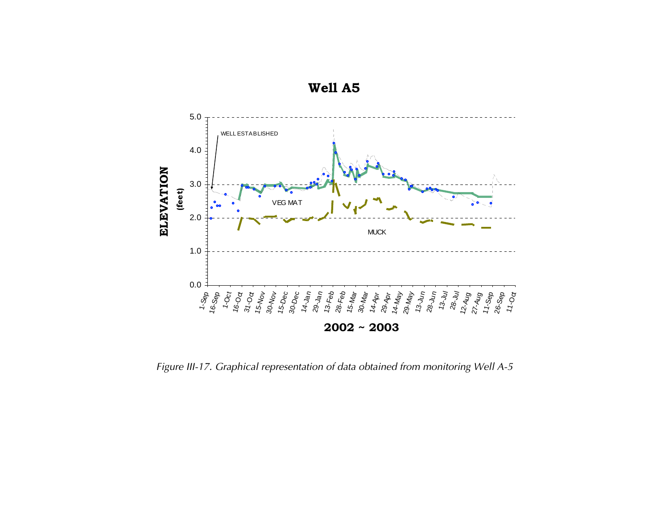

*Figure III-17. Graphical representation of data obtained from monitoring Well A-5*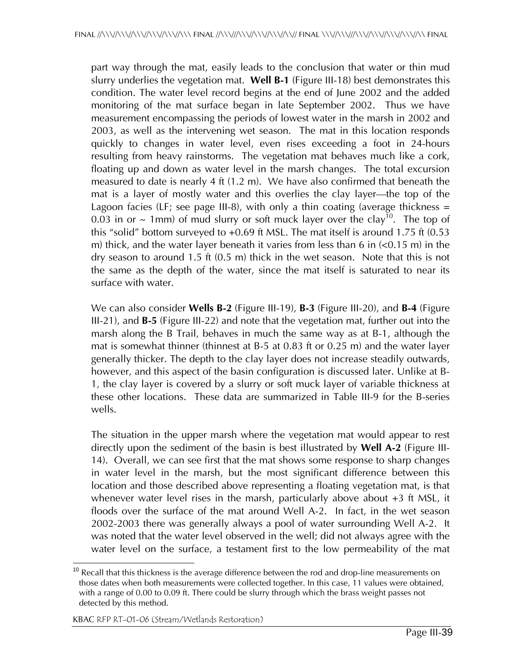part way through the mat, easily leads to the conclusion that water or thin mud slurry underlies the vegetation mat. **Well B-1** (Figure III-18) best demonstrates this condition. The water level record begins at the end of June 2002 and the added monitoring of the mat surface began in late September 2002. Thus we have measurement encompassing the periods of lowest water in the marsh in 2002 and 2003, as well as the intervening wet season. The mat in this location responds quickly to changes in water level, even rises exceeding a foot in 24-hours resulting from heavy rainstorms. The vegetation mat behaves much like a cork, floating up and down as water level in the marsh changes. The total excursion measured to date is nearly 4 ft (1.2 m). We have also confirmed that beneath the mat is a layer of mostly water and this overlies the clay layer—the top of the Lagoon facies (LF; see page III-8), with only a thin coating (average thickness  $=$ 0.03 in or  $\sim$  1mm) of mud slurry or soft muck layer over the clay<sup>10</sup>. The top of this "solid" bottom surveyed to +0.69 ft MSL. The mat itself is around 1.75 ft (0.53 m) thick, and the water layer beneath it varies from less than 6 in  $\leq 0.15$  m) in the dry season to around 1.5 ft (0.5 m) thick in the wet season. Note that this is not the same as the depth of the water, since the mat itself is saturated to near its surface with water.

We can also consider **Wells B-2** (Figure III-19), **B-3** (Figure III-20), and **B-4** (Figure III-21), and **B-5** (Figure III-22) and note that the vegetation mat, further out into the marsh along the B Trail, behaves in much the same way as at B-1, although the mat is somewhat thinner (thinnest at B-5 at 0.83 ft or 0.25 m) and the water layer generally thicker. The depth to the clay layer does not increase steadily outwards, however, and this aspect of the basin configuration is discussed later. Unlike at B-1, the clay layer is covered by a slurry or soft muck layer of variable thickness at these other locations. These data are summarized in Table III-9 for the B-series wells.

The situation in the upper marsh where the vegetation mat would appear to rest directly upon the sediment of the basin is best illustrated by **Well A-2** (Figure III-14). Overall, we can see first that the mat shows some response to sharp changes in water level in the marsh, but the most significant difference between this location and those described above representing a floating vegetation mat, is that whenever water level rises in the marsh, particularly above about +3 ft MSL, it floods over the surface of the mat around Well A-2. In fact, in the wet season 2002-2003 there was generally always a pool of water surrounding Well A-2. It was noted that the water level observed in the well; did not always agree with the water level on the surface, a testament first to the low permeability of the mat

 $\overline{\phantom{a}}$  $10$  Recall that this thickness is the average difference between the rod and drop-line measurements on those dates when both measurements were collected together. In this case, 11 values were obtained, with a range of 0.00 to 0.09 ft. There could be slurry through which the brass weight passes not detected by this method.

KBAC RFP RT-01-06 (Stream/Wetlands Restoration)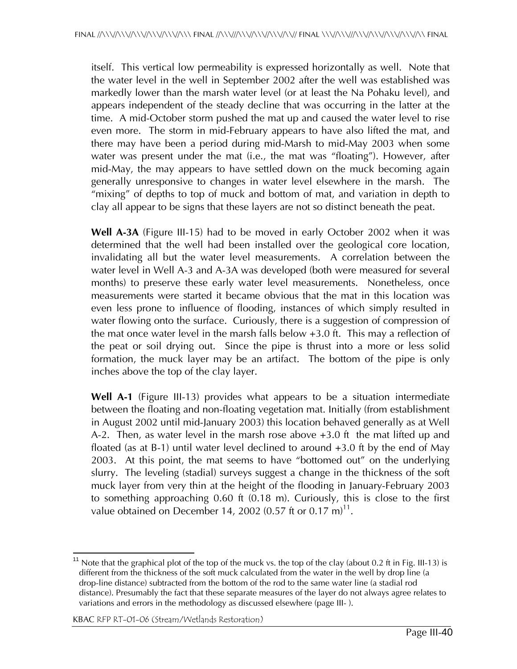itself. This vertical low permeability is expressed horizontally as well. Note that the water level in the well in September 2002 after the well was established was markedly lower than the marsh water level (or at least the Na Pohaku level), and appears independent of the steady decline that was occurring in the latter at the time. A mid-October storm pushed the mat up and caused the water level to rise even more. The storm in mid-February appears to have also lifted the mat, and there may have been a period during mid-Marsh to mid-May 2003 when some water was present under the mat (i.e., the mat was "floating"). However, after mid-May, the may appears to have settled down on the muck becoming again generally unresponsive to changes in water level elsewhere in the marsh. The "mixing" of depths to top of muck and bottom of mat, and variation in depth to clay all appear to be signs that these layers are not so distinct beneath the peat.

**Well A-3A** (Figure III-15) had to be moved in early October 2002 when it was determined that the well had been installed over the geological core location, invalidating all but the water level measurements. A correlation between the water level in Well A-3 and A-3A was developed (both were measured for several months) to preserve these early water level measurements. Nonetheless, once measurements were started it became obvious that the mat in this location was even less prone to influence of flooding, instances of which simply resulted in water flowing onto the surface. Curiously, there is a suggestion of compression of the mat once water level in the marsh falls below +3.0 ft. This may a reflection of the peat or soil drying out. Since the pipe is thrust into a more or less solid formation, the muck layer may be an artifact. The bottom of the pipe is only inches above the top of the clay layer.

**Well A-1** (Figure III-13) provides what appears to be a situation intermediate between the floating and non-floating vegetation mat. Initially (from establishment in August 2002 until mid-January 2003) this location behaved generally as at Well A-2. Then, as water level in the marsh rose above +3.0 ft the mat lifted up and floated (as at B-1) until water level declined to around +3.0 ft by the end of May 2003. At this point, the mat seems to have "bottomed out" on the underlying slurry. The leveling (stadial) surveys suggest a change in the thickness of the soft muck layer from very thin at the height of the flooding in January-February 2003 to something approaching 0.60 ft (0.18 m). Curiously, this is close to the first value obtained on December 14, 2002 (0.57 ft or 0.17 m)<sup>11</sup>.

 $\overline{\phantom{a}}$ Note that the graphical plot of the top of the muck vs. the top of the clay (about 0.2 ft in Fig. III-13) is different from the thickness of the soft muck calculated from the water in the well by drop line (a drop-line distance) subtracted from the bottom of the rod to the same water line (a stadial rod distance). Presumably the fact that these separate measures of the layer do not always agree relates to variations and errors in the methodology as discussed elsewhere (page III- ).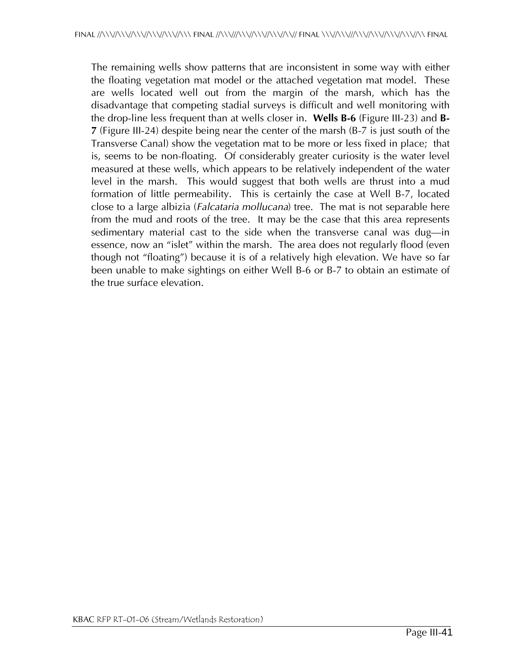The remaining wells show patterns that are inconsistent in some way with either the floating vegetation mat model or the attached vegetation mat model. These are wells located well out from the margin of the marsh, which has the disadvantage that competing stadial surveys is difficult and well monitoring with the drop-line less frequent than at wells closer in. **Wells B-6** (Figure III-23) and **B-7** (Figure III-24) despite being near the center of the marsh (B-7 is just south of the Transverse Canal) show the vegetation mat to be more or less fixed in place; that is, seems to be non-floating. Of considerably greater curiosity is the water level measured at these wells, which appears to be relatively independent of the water level in the marsh. This would suggest that both wells are thrust into a mud formation of little permeability. This is certainly the case at Well B-7, located close to a large albizia (*Falcataria mollucana*) tree. The mat is not separable here from the mud and roots of the tree. It may be the case that this area represents sedimentary material cast to the side when the transverse canal was dug—in essence, now an "islet" within the marsh. The area does not regularly flood (even though not "floating") because it is of a relatively high elevation. We have so far been unable to make sightings on either Well B-6 or B-7 to obtain an estimate of the true surface elevation.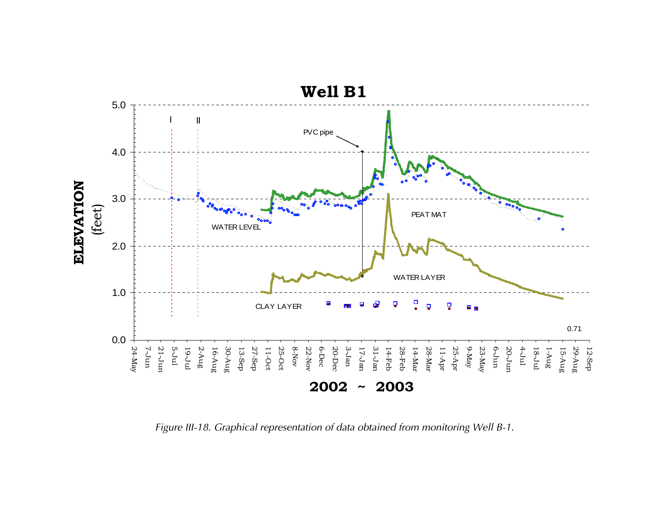

*Figure III-18. Graphical representation of data obtained from monitoring Well B-1.*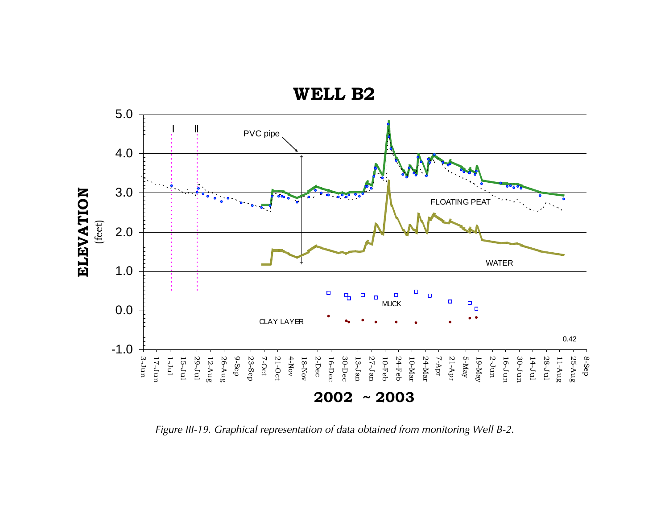

*Figure III-19. Graphical representation of data obtained from monitoring Well B-2.*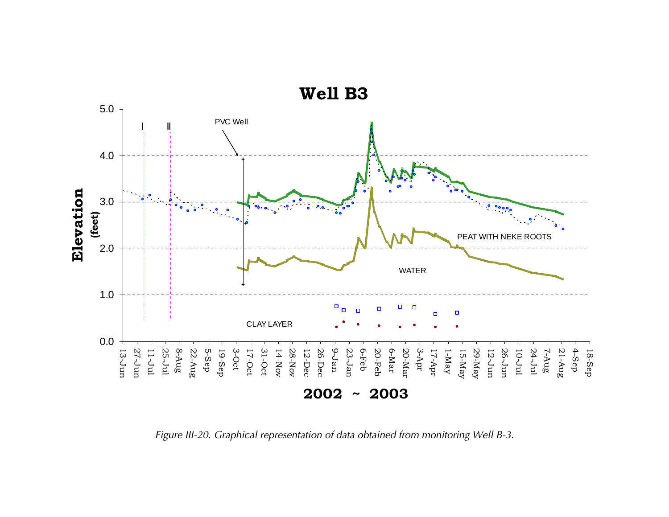

*Figure III-20. Graphical representation of data obtained from monitoring Well B-3.*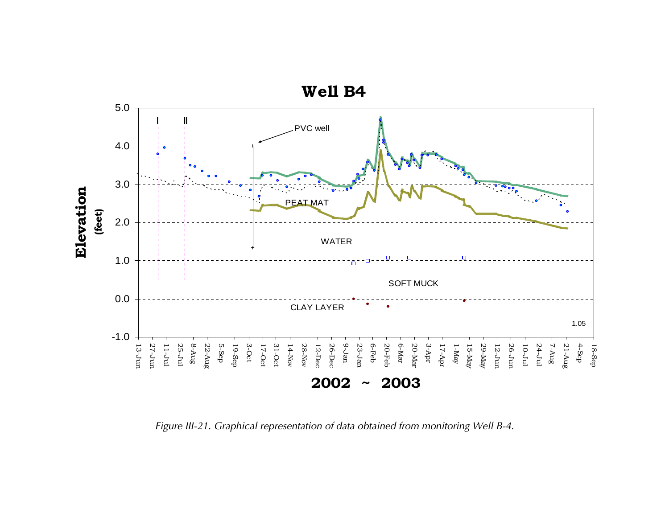

*Figure III-21. Graphical representation of data obtained from monitoring Well B-4.*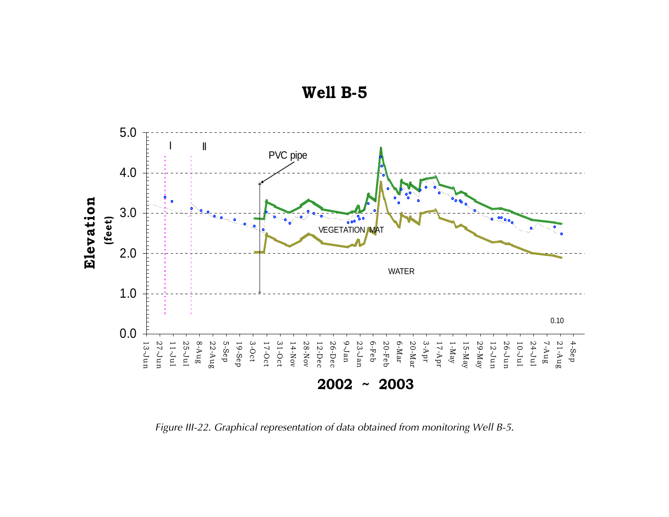

**Well B-5**

*Figure III-22. Graphical representation of data obtained from monitoring Well B-5.*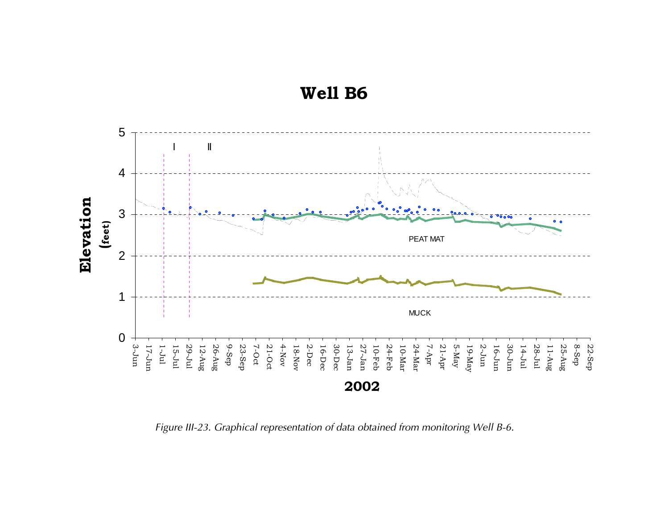



*Figure III-23. Graphical representation of data obtained from monitoring Well B-6.*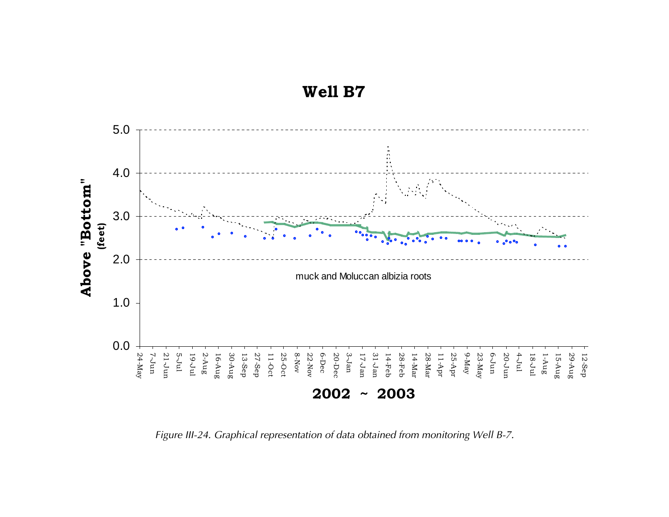**Well B7**



*Figure III-24. Graphical representation of data obtained from monitoring Well B-7.*